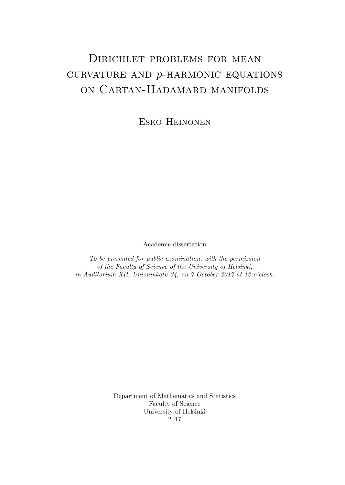# Dirichlet problems for mean CURVATURE AND  $p$ -HARMONIC EQUATIONS on Cartan-Hadamard manifolds

Esko Heinonen

Academic dissertation

To be presented for public examination, with the permission of the Faculty of Science of the University of Helsinki, in Auditorium XII, Unioninkatu 34, on 7 October 2017 at 12 o'clock.

> Department of Mathematics and Statistics Faculty of Science University of Helsinki 2017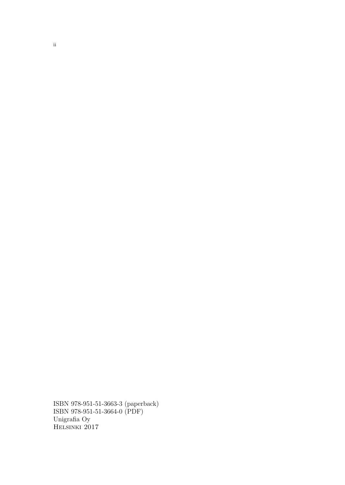ISBN 978-951-51-3663-3 (paperback) ISBN 978-951-51-3664-0 (PDF) Unigrafia Oy Helsinki 2017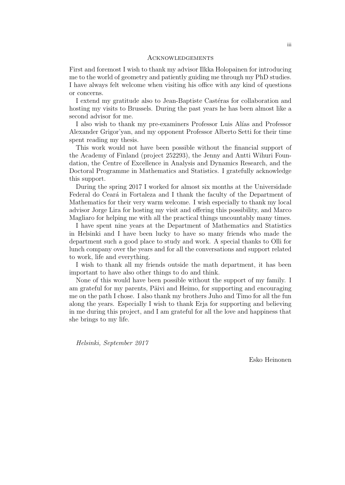#### **ACKNOWLEDGEMENTS**

First and foremost I wish to thank my advisor Ilkka Holopainen for introducing me to the world of geometry and patiently guiding me through my PhD studies. I have always felt welcome when visiting his office with any kind of questions or concerns.

I extend my gratitude also to Jean-Baptiste Castéras for collaboration and hosting my visits to Brussels. During the past years he has been almost like a second advisor for me.

I also wish to thank my pre-examiners Professor Luis Alías and Professor Alexander Grigor'yan, and my opponent Professor Alberto Setti for their time spent reading my thesis.

This work would not have been possible without the financial support of the Academy of Finland (project 252293), the Jenny and Antti Wihuri Foundation, the Centre of Excellence in Analysis and Dynamics Research, and the Doctoral Programme in Mathematics and Statistics. I gratefully acknowledge this support.

During the spring 2017 I worked for almost six months at the Universidade Federal do Ceará in Fortaleza and I thank the faculty of the Department of Mathematics for their very warm welcome. I wish especially to thank my local advisor Jorge Lira for hosting my visit and offering this possibility, and Marco Magliaro for helping me with all the practical things uncountably many times.

I have spent nine years at the Department of Mathematics and Statistics in Helsinki and I have been lucky to have so many friends who made the department such a good place to study and work. A special thanks to Olli for lunch company over the years and for all the conversations and support related to work, life and everything.

I wish to thank all my friends outside the math department, it has been important to have also other things to do and think.

None of this would have been possible without the support of my family. I am grateful for my parents, Päivi and Heimo, for supporting and encouraging me on the path I chose. I also thank my brothers Juho and Timo for all the fun along the years. Especially I wish to thank Erja for supporting and believing in me during this project, and I am grateful for all the love and happiness that she brings to my life.

Helsinki, September 2017

Esko Heinonen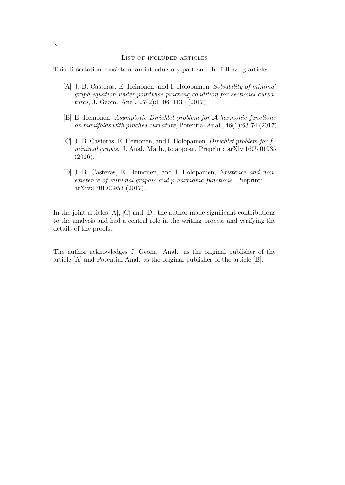#### List of included articles

This dissertation consists of an introductory part and the following articles:

- [A] J.-B. Casteras, E. Heinonen, and I. Holopainen, Solvability of minimal graph equation under pointwise pinching condition for sectional curvatures, J. Geom. Anal. 27(2):1106–1130 (2017).
- [B] E. Heinonen, Asymptotic Dirichlet problem for A-harmonic functions on manifolds with pinched curvature, Potential Anal., 46(1):63-74 (2017).
- [C] J.-B. Casteras, E. Heinonen, and I. Holopainen, Dirichlet problem for fminimal graphs. J. Anal. Math., to appear. Preprint: arXiv:1605.01935 (2016).
- [D] J.-B. Casteras, E. Heinonen, and I. Holopainen, Existence and nonexistence of minimal graphic and p-harmonic functions. Preprint: arXiv:1701.00953 (2017).

In the joint articles [A], [C] and [D], the author made significant contributions to the analysis and had a central role in the writing process and verifying the details of the proofs.

The author acknowledges J. Geom. Anal. as the original publisher of the article [A] and Potential Anal. as the original publisher of the article [B].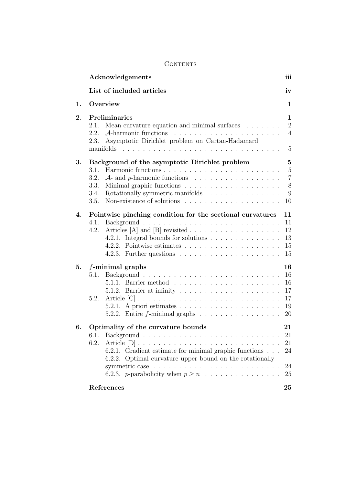|    | Acknowledgements                                                                                                                                                                                                                                                                                                                                                                | iii                                                       |
|----|---------------------------------------------------------------------------------------------------------------------------------------------------------------------------------------------------------------------------------------------------------------------------------------------------------------------------------------------------------------------------------|-----------------------------------------------------------|
|    | List of included articles                                                                                                                                                                                                                                                                                                                                                       | iv                                                        |
| 1. | Overview                                                                                                                                                                                                                                                                                                                                                                        | 1                                                         |
| 2. | Preliminaries<br>Mean curvature equation and minimal surfaces $\ldots \ldots$<br>2.1.<br>2.2.<br>$A$ -harmonic functions<br>and a series of the contract of the contract of the contract of the contract of the contract of the contract of<br>Asymptotic Dirichlet problem on Cartan-Hadamard<br>2.3.<br>manifolds                                                             | 1<br>$\overline{2}$<br>$\overline{4}$<br>$\mathbf 5$      |
| 3. | Background of the asymptotic Dirichlet problem<br>3.1.<br>3.2.<br>$\mathcal{A}$ - and p-harmonic functions<br>3.3.<br>Rotationally symmetric manifolds<br>3.4.<br>3.5.                                                                                                                                                                                                          | $\mathbf{5}$<br>$\bf 5$<br>$\overline{7}$<br>8<br>9<br>10 |
| 4. | Pointwise pinching condition for the sectional curvatures<br>4.1.<br>Articles [A] and [B] revisited $\ldots \ldots \ldots \ldots \ldots \ldots$<br>4.2.<br>4.2.1. Integral bounds for solutions $\ldots \ldots \ldots \ldots$<br>4.2.2. Pointwise estimates $\ldots \ldots \ldots \ldots \ldots \ldots$<br>4.2.3. Further questions $\ldots \ldots \ldots \ldots \ldots \ldots$ | 11<br>11<br>12<br>13<br>15<br>15                          |
| 5. | $f$ -minimal graphs<br>5.1.<br>5.1.2. Barrier at infinity $\ldots \ldots \ldots \ldots \ldots \ldots \ldots$<br>5.2.<br>5.2.1. A priori estimates $\ldots \ldots \ldots \ldots \ldots \ldots$<br>5.2.2. Entire $f$ -minimal graphs $\ldots \ldots \ldots \ldots \ldots$                                                                                                         | 16<br>16<br>16<br>17<br>17<br>19<br>20                    |
| 6. | Optimality of the curvature bounds<br>6.1.<br>6.2.<br>6.2.1. Gradient estimate for minimal graphic functions<br>Optimal curvature upper bound on the rotationally<br>6.2.2.<br>6.2.3. <i>p</i> -parabolicity when $p \geq n$                                                                                                                                                    | 21<br>21<br>21<br>24<br>24<br>25                          |
|    | References                                                                                                                                                                                                                                                                                                                                                                      | 25                                                        |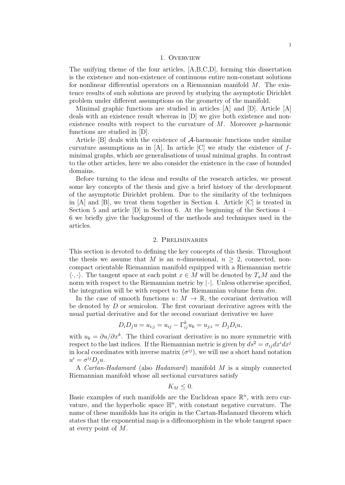#### 1. Overview

The unifying theme of the four articles, [A,B,C,D], forming this dissertation is the existence and non-existence of continuous entire non-constant solutions for nonlinear differential operators on a Riemannian manifold  $M$ . The existence results of such solutions are proved by studying the asymptotic Dirichlet problem under different assumptions on the geometry of the manifold.

Minimal graphic functions are studied in articles [A] and [D]. Article [A] deals with an existence result whereas in [D] we give both existence and nonexistence results with respect to the curvature of  $M$ . Moreover  $p$ -harmonic functions are studied in [D].

Article [B] deals with the existence of A-harmonic functions under similar curvature assumptions as in  $[A]$ . In article  $[C]$  we study the existence of  $f$ minimal graphs, which are generalisations of usual minimal graphs. In contrast to the other articles, here we also consider the existence in the case of bounded domains.

Before turning to the ideas and results of the research articles, we present some key concepts of the thesis and give a brief history of the development of the asymptotic Dirichlet problem. Due to the similarity of the techniques in [A] and [B], we treat them together in Section 4. Article [C] is treated in Section 5 and article [D] in Section 6. At the beginning of the Sections 4 – 6 we briefly give the background of the methods and techniques used in the articles.

## 2. Preliminaries

This section is devoted to defining the key concepts of this thesis. Throughout the thesis we assume that M is an n-dimensional,  $n > 2$ , connected, noncompact orientable Riemannian manifold equipped with a Riemannian metric  $\langle \cdot, \cdot \rangle$ . The tangent space at each point  $x \in M$  will be denoted by  $T_xM$  and the norm with respect to the Riemannian metric by  $|\cdot|$ . Unless otherwise specified, the integration will be with respect to the Riemannian volume form  $dm$ .

In the case of smooth functions  $u: M \to \mathbb{R}$ , the covariant derivation will be denoted by D or semicolon. The first covariant derivative agrees with the usual partial derivative and for the second covariant derivative we have

$$
D_i D_j u = u_{i;j} = u_{ij} - \Gamma_{ij}^k u_k = u_{j;i} = D_j D_i u,
$$

with  $u_k = \partial u / \partial x^k$ . The third covariant derivative is no more symmetric with respect to the last indices. If the Riemannian metric is given by  $ds^2 = \sigma_{ij} dx^i dx^j$ in local coordinates with inverse matrix  $(\sigma^{ij})$ , we will use a short hand notation  $u^i = \sigma^{ij} D_j u.$ 

A Cartan-Hadamard (also Hadamard) manifold M is a simply connected Riemannian manifold whose all sectional curvatures satisfy

$$
K_M\leq 0.
$$

Basic examples of such manifolds are the Euclidean space  $\mathbb{R}^n$ , with zero curvature, and the hyperbolic space  $\mathbb{H}^n$ , with constant negative curvature. The name of these manifolds has its origin in the Cartan-Hadamard theorem which states that the exponential map is a diffeomorphism in the whole tangent space at every point of M.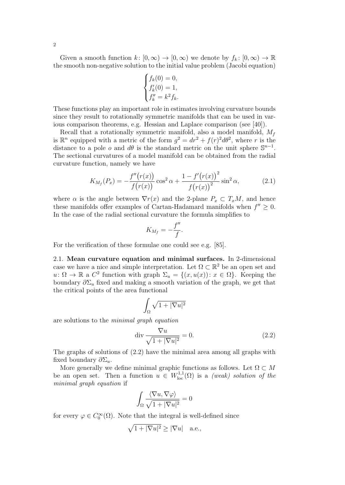Given a smooth function  $k: [0, \infty) \to [0, \infty)$  we denote by  $f_k: [0, \infty) \to \mathbb{R}$ the smooth non-negative solution to the initial value problem (Jacobi equation)

$$
\begin{cases} f_k(0) = 0, \\ f'_k(0) = 1, \\ f''_k = k^2 f_k. \end{cases}
$$

These functions play an important role in estimates involving curvature bounds since they result to rotationally symmetric manifolds that can be used in various comparison theorems, e.g. Hessian and Laplace comparison (see [40]).

Recall that a rotationally symmetric manifold, also a model manifold,  $M_f$ is  $\mathbb{R}^n$  equipped with a metric of the form  $g^2 = dr^2 + f(r)^2 d\theta^2$ , where r is the distance to a pole o and  $d\theta$  is the standard metric on the unit sphere  $\mathbb{S}^{n-1}$ . The sectional curvatures of a model manifold can be obtained from the radial curvature function, namely we have

$$
K_{M_f}(P_x) = -\frac{f''(r(x))}{f(r(x))} \cos^2 \alpha + \frac{1 - f'(r(x))^2}{f(r(x))^2} \sin^2 \alpha,
$$
 (2.1)

where  $\alpha$  is the angle between  $\nabla r(x)$  and the 2-plane  $P_x \subset T_xM$ , and hence these manifolds offer examples of Cartan-Hadamard manifolds when  $f'' \geq 0$ . In the case of the radial sectional curvature the formula simplifies to

$$
K_{M_f} = -\frac{f''}{f}.
$$

For the verification of these formulae one could see e.g. [85].

2.1. Mean curvature equation and minimal surfaces. In 2-dimensional case we have a nice and simple interpretation. Let  $\Omega \subset \mathbb{R}^2$  be an open set and  $u: \Omega \to \mathbb{R}$  a  $C^2$  function with graph  $\Sigma_u = \{(x, u(x)) : x \in \Omega\}$ . Keeping the boundary  $\partial \Sigma_u$  fixed and making a smooth variation of the graph, we get that the critical points of the area functional

$$
\int_{\Omega} \sqrt{1+|\nabla u|^2}
$$

are solutions to the minimal graph equation

$$
\operatorname{div} \frac{\nabla u}{\sqrt{1+|\nabla u|^2}} = 0. \tag{2.2}
$$

The graphs of solutions of (2.2) have the minimal area among all graphs with fixed boundary  $\partial \Sigma_u$ .

More generally we define minimal graphic functions as follows. Let  $\Omega\subset M$ be an open set. Then a function  $u \in W^{1,1}_{loc}(\Omega)$  is a *(weak) solution of the* minimal graph equation if

$$
\int_{\Omega} \frac{\langle \nabla u, \nabla \varphi \rangle}{\sqrt{1 + |\nabla u|^2}} = 0
$$

for every  $\varphi \in C_0^{\infty}(\Omega)$ . Note that the integral is well-defined since

$$
\sqrt{1+|\nabla u|^2} \ge |\nabla u| \quad \text{a.e.},
$$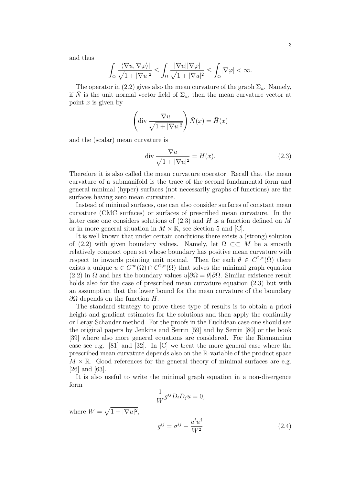and thus

$$
\int_{\Omega} \frac{|\langle \nabla u, \nabla \varphi \rangle|}{\sqrt{1+|\nabla u|^2}} \leq \int_{\Omega} \frac{|\nabla u||\nabla \varphi|}{\sqrt{1+|\nabla u|^2}} \leq \int_{\Omega} |\nabla \varphi| < \infty.
$$

The operator in (2.2) gives also the mean curvature of the graph  $\Sigma_u$ . Namely, if  $\overline{N}$  is the unit normal vector field of  $\Sigma_u$ , then the mean curvature vector at point  $x$  is given by

$$
\left(\operatorname{div}\frac{\nabla u}{\sqrt{1+|\nabla u|^2}}\right)\bar{N}(x)=\bar{H}(x)
$$

and the (scalar) mean curvature is

$$
\operatorname{div} \frac{\nabla u}{\sqrt{1+|\nabla u|^2}} = H(x). \tag{2.3}
$$

Therefore it is also called the mean curvature operator. Recall that the mean curvature of a submanifold is the trace of the second fundamental form and general minimal (hyper) surfaces (not necessarily graphs of functions) are the surfaces having zero mean curvature.

Instead of minimal surfaces, one can also consider surfaces of constant mean curvature (CMC surfaces) or surfaces of prescribed mean curvature. In the latter case one considers solutions of  $(2.3)$  and H is a function defined on M or in more general situation in  $M \times \mathbb{R}$ , see Section 5 and [C].

It is well known that under certain conditions there exists a (strong) solution of (2.2) with given boundary values. Namely, let  $\Omega \subset\subset M$  be a smooth relatively compact open set whose boundary has positive mean curvature with respect to inwards pointing unit normal. Then for each  $\theta \in C^{2,\alpha}(\overline{\Omega})$  there exists a unique  $u \in \overline{C^{\infty}(\Omega)} \cap C^{2,\alpha}(\overline{\Omega})$  that solves the minimal graph equation (2.2) in  $\Omega$  and has the boundary values  $u|\partial\Omega = \theta|\partial\Omega$ . Similar existence result holds also for the case of prescribed mean curvature equation  $(2.3)$  but with an assumption that the lower bound for the mean curvature of the boundary  $\partial Ω$  depends on the function H.

The standard strategy to prove these type of results is to obtain a priori height and gradient estimates for the solutions and then apply the continuity or Leray-Schauder method. For the proofs in the Euclidean case one should see the original papers by Jenkins and Serrin [59] and by Serrin [80] or the book [39] where also more general equations are considered. For the Riemannian case see e.g. [81] and [32]. In [C] we treat the more general case where the prescribed mean curvature depends also on the R-variable of the product space  $M \times \mathbb{R}$ . Good references for the general theory of minimal surfaces are e.g. [26] and [63].

It is also useful to write the minimal graph equation in a non-divergence form

$$
\frac{1}{W}g^{ij}D_iD_ju = 0,
$$

where  $W = \sqrt{1 + |\nabla u|^2}$ ,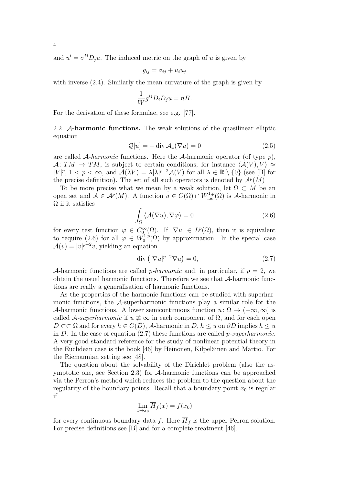and  $u^i = \sigma^{ij} D_j u$ . The induced metric on the graph of u is given by

$$
g_{ij} = \sigma_{ij} + u_i u_j
$$

with inverse (2.4). Similarly the mean curvature of the graph is given by

$$
\frac{1}{W}g^{ij}D_iD_ju = nH.
$$

For the derivation of these formulae, see e.g. [77].

2.2. A-harmonic functions. The weak solutions of the quasilinear elliptic equation

$$
\mathcal{Q}[u] = -\operatorname{div}\mathcal{A}_x(\nabla u) = 0\tag{2.5}
$$

are called  $\mathcal{A}$ -harmonic functions. Here the  $\mathcal{A}$ -harmonic operator (of type p),  $\mathcal{A}: TM \to TM$ , is subject to certain conditions; for instance  $\langle \mathcal{A}(V), V \rangle \approx$  $|V|^p$ ,  $1 < p < \infty$ , and  $\mathcal{A}(\lambda V) = \lambda |\lambda|^{p-2} \mathcal{A}(V)$  for all  $\lambda \in \mathbb{R} \setminus \{0\}$  (see [B] for the precise definition). The set of all such operators is denoted by  $\mathcal{A}^p(M)$ 

To be more precise what we mean by a weak solution, let  $\Omega \subset M$  be an open set and  $\mathcal{A} \in \mathcal{A}^p(M)$ . A function  $u \in C(\Omega) \cap W^{1,p}_{loc}(\Omega)$  is A-harmonic in  $\Omega$  if it satisfies

$$
\int_{\Omega} \langle \mathcal{A}(\nabla u), \nabla \varphi \rangle = 0 \tag{2.6}
$$

for every test function  $\varphi \in C_0^{\infty}(\Omega)$ . If  $|\nabla u| \in L^p(\Omega)$ , then it is equivalent to require (2.6) for all  $\varphi \in W_0^{1,p}(\Omega)$  by approximation. In the special case  $\mathcal{A}(v) = |v|^{p-2}v$ , yielding an equation

$$
-\operatorname{div}\left(|\nabla u|^{p-2}\nabla u\right) = 0,\t\t(2.7)
$$

A-harmonic functions are called *p-harmonic* and, in particular, if  $p = 2$ , we obtain the usual harmonic functions. Therefore we see that A-harmonic functions are really a generalisation of harmonic functions.

As the properties of the harmonic functions can be studied with superharmonic functions, the A-superharmonic functions play a similar role for the A-harmonic functions. A lower semicontinuous function  $u: \Omega \to (-\infty, \infty]$  is called A-superharmonic if  $u \neq \infty$  in each component of  $\Omega$ , and for each open  $D \subset\subset \Omega$  and for every  $h \in C(\overline{D})$ , A-harmonic in  $D, h \leq u$  on  $\partial D$  implies  $h \leq u$ in D. In the case of equation  $(2.7)$  these functions are called p-superharmonic. A very good standard reference for the study of nonlinear potential theory in the Euclidean case is the book  $[46]$  by Heinonen, Kilpeläinen and Martio. For the Riemannian setting see [48].

The question about the solvability of the Dirichlet problem (also the asymptotic one, see Section 2.3) for A-harmonic functions can be approached via the Perron's method which reduces the problem to the question about the regularity of the boundary points. Recall that a boundary point  $x_0$  is regular if

$$
\lim_{x \to x_0} \overline{H}_f(x) = f(x_0)
$$

for every continuous boundary data f. Here  $\overline{H}_f$  is the upper Perron solution. For precise definitions see [B] and for a complete treatment [46].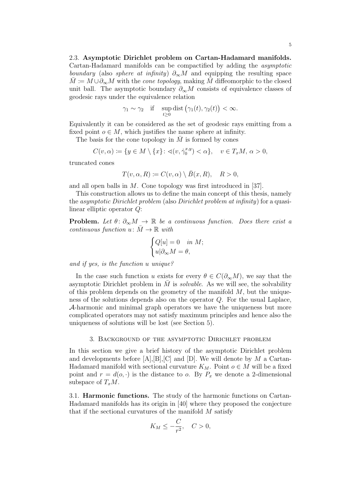$$
\gamma_1 \sim \gamma_2
$$
 if  $\sup_{t \ge 0}$  dist  $(\gamma_1(t), \gamma_2(t)) < \infty$ .

Equivalently it can be considered as the set of geodesic rays emitting from a fixed point  $o \in M$ , which justifies the name sphere at infinity.

The basis for the cone topology in  $M$  is formed by cones

$$
C(v, \alpha) := \{ y \in M \setminus \{x\} \colon \sphericalangle(v, \dot{\gamma}_0^{x, y}) < \alpha \}, \quad v \in T_x M, \, \alpha > 0,
$$

truncated cones

$$
T(v, \alpha, R) := C(v, \alpha) \setminus \bar{B}(x, R), \quad R > 0,
$$

and all open balls in M. Cone topology was first introduced in [37].

This construction allows us to define the main concept of this thesis, namely the asymptotic Dirichlet problem (also Dirichlet problem at infinity) for a quasilinear elliptic operator Q:

**Problem.** Let  $\theta: \partial_{\infty}M \to \mathbb{R}$  be a continuous function. Does there exist a continuous function  $u: M \to \mathbb{R}$  with

$$
\begin{cases} Q[u] = 0 & \text{in } M; \\ u|\partial_{\infty}M = \theta, \end{cases}
$$

and if yes, is the function u unique?

In the case such function u exists for every  $\theta \in C(\partial_{\infty}M)$ , we say that the asymptotic Dirichlet problem in  $M$  is *solvable*. As we will see, the solvability of this problem depends on the geometry of the manifold  $M$ , but the uniqueness of the solutions depends also on the operator  $Q$ . For the usual Laplace, A-harmonic and minimal graph operators we have the uniqueness but more complicated operators may not satisfy maximum principles and hence also the uniqueness of solutions will be lost (see Section 5).

# 3. Background of the asymptotic Dirichlet problem

In this section we give a brief history of the asymptotic Dirichlet problem and developments before  $[A], [B], [C]$  and  $[D]$ . We will denote by M a Cartan-Hadamard manifold with sectional curvature  $K_M$ . Point  $o \in M$  will be a fixed point and  $r = d(o, \cdot)$  is the distance to o. By  $P_x$  we denote a 2-dimensional subspace of  $T_xM$ .

3.1. Harmonic functions. The study of the harmonic functions on Cartan-Hadamard manifolds has its origin in [40] where they proposed the conjecture that if the sectional curvatures of the manifold  $M$  satisfy

$$
K_M \le -\frac{C}{r^2}, \quad C > 0,
$$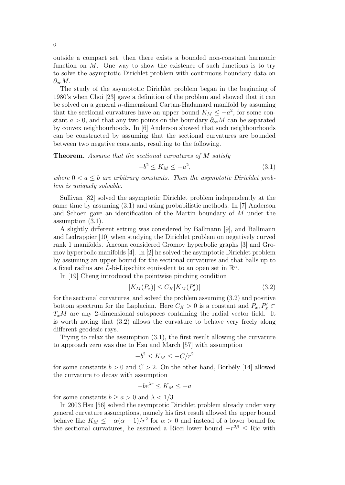outside a compact set, then there exists a bounded non-constant harmonic function on  $M$ . One way to show the existence of such functions is to try to solve the asymptotic Dirichlet problem with continuous boundary data on  $\partial_{\infty}M$ .

The study of the asymptotic Dirichlet problem began in the beginning of 1980's when Choi [23] gave a definition of the problem and showed that it can be solved on a general n-dimensional Cartan-Hadamard manifold by assuming that the sectional curvatures have an upper bound  $K_M \leq -a^2$ , for some constant  $a > 0$ , and that any two points on the boundary  $\partial_{\infty} M$  can be separated by convex neighbourhoods. In [6] Anderson showed that such neighbourhoods can be constructed by assuming that the sectional curvatures are bounded between two negative constants, resulting to the following.

Theorem. Assume that the sectional curvatures of M satisfy

$$
-b^2 \le K_M \le -a^2,\tag{3.1}
$$

where  $0 < a \leq b$  are arbitrary constants. Then the asymptotic Dirichlet problem is uniquely solvable.

Sullivan [82] solved the asymptotic Dirichlet problem independently at the same time by assuming (3.1) and using probabilistic methods. In [7] Anderson and Schoen gave an identification of the Martin boundary of M under the assumption (3.1).

A slightly different setting was considered by Ballmann [9], and Ballmann and Ledrappier [10] when studying the Dirichlet problem on negatively curved rank 1 manifolds. Ancona considered Gromov hyperbolic graphs [3] and Gromov hyperbolic manifolds [4]. In [2] he solved the asymptotic Dirichlet problem by assuming an upper bound for the sectional curvatures and that balls up to a fixed radius are L-bi-Lipschitz equivalent to an open set in  $\mathbb{R}^n$ .

In [19] Cheng introduced the pointwise pinching condition

$$
|K_M(P_x)| \le C_K |K_M(P'_x)| \tag{3.2}
$$

for the sectional curvatures, and solved the problem assuming (3.2) and positive bottom spectrum for the Laplacian. Here  $C_K > 0$  is a constant and  $P_x, P'_x \subset$  $T_xM$  are any 2-dimensional subspaces containing the radial vector field. It is worth noting that (3.2) allows the curvature to behave very freely along different geodesic rays.

Trying to relax the assumption (3.1), the first result allowing the curvature to approach zero was due to Hsu and March [57] with assumption

$$
-b^2 \le K_M \le -C/r^2
$$

for some constants  $b > 0$  and  $C > 2$ . On the other hand, Borbély [14] allowed the curvature to decay with assumption

$$
-be^{\lambda r} \le K_M \le -a
$$

for some constants  $b \ge a > 0$  and  $\lambda < 1/3$ .

In 2003 Hsu [56] solved the asymptotic Dirichlet problem already under very general curvature assumptions, namely his first result allowed the upper bound behave like  $K_M \leq -\alpha(\alpha-1)/r^2$  for  $\alpha > 0$  and instead of a lower bound for the sectional curvatures, he assumed a Ricci lower bound  $-r^{2\beta} \leq$  Ric with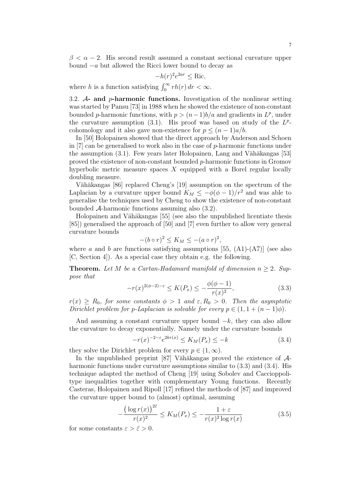$\beta < \alpha - 2$ . His second result assumed a constant sectional curvature upper bound  $-a$  but allowed the Ricci lower bound to decay as

$$
-h(r)^2 e^{2ar} \le \text{Ric},
$$

where h is a function satisfying  $\int_0^\infty rh(r) dr < \infty$ .

3.2.  $\mathcal{A}$ - and *p*-harmonic functions. Investigation of the nonlinear setting was started by Pansu [73] in 1988 when he showed the existence of non-constant bounded p-harmonic functions, with  $p > (n-1)b/a$  and gradients in  $L^p$ , under the curvature assumption  $(3.1)$ . His proof was based on study of the  $L^p$ cohomology and it also gave non-existence for  $p \leq (n-1)a/b$ .

In [50] Holopainen showed that the direct approach by Anderson and Schoen in  $[7]$  can be generalised to work also in the case of p-harmonic functions under the assumption  $(3.1)$ . Few years later Holopainen, Lang and Vähäkangas [53] proved the existence of non-constant bounded p-harmonic functions in Gromov hyperbolic metric measure spaces  $X$  equipped with a Borel regular locally doubling measure.

Vähäkangas [86] replaced Cheng's [19] assumption on the spectrum of the Laplacian by a curvature upper bound  $K_M \le -\phi(\phi - 1)/r^2$  and was able to generalise the techniques used by Cheng to show the existence of non-constant bounded A-harmonic functions assuming also (3.2).

Holopainen and Vähäkangas [55] (see also the unpublished licentiate thesis [85]) generalised the approach of [50] and [7] even further to allow very general curvature bounds

$$
-(b \circ r)^2 \le K_M \le -(a \circ r)^2,
$$

where a and b are functions satisfying assumptions [55,  $(A1)-(A7)$ ] (see also [C, Section 4]). As a special case they obtain e.g. the following.

**Theorem.** Let M be a Cartan-Hadamard manifold of dimension  $n \geq 2$ . Suppose that

$$
-r(x)^{2(\phi-2)-\varepsilon} \le K(P_x) \le -\frac{\phi(\phi-1)}{r(x)^2},\tag{3.3}
$$

 $r(x) \ge R_0$ , for some constants  $\phi > 1$  and  $\varepsilon, R_0 > 0$ . Then the asymptotic Dirichlet problem for p-Laplacian is solvable for every  $p \in (1, 1 + (n-1)\phi)$ .

And assuming a constant curvature upper bound  $-k$ , they can also allow the curvature to decay exponentially. Namely under the curvature bounds

$$
-r(x)^{-2-\varepsilon}e^{2kr(x)} \le K_M(P_x) \le -k \tag{3.4}
$$

they solve the Dirichlet problem for every  $p \in (1,\infty)$ .

In the unpublished preprint [87] Vähäkangas proved the existence of  $\mathcal{A}$ harmonic functions under curvature assumptions similar to  $(3.3)$  and  $(3.4)$ . His technique adapted the method of Cheng [19] using Sobolev and Caccioppolitype inequalities together with complementary Young functions. Recently Casteras, Holopainen and Ripoll [17] refined the methods of [87] and improved the curvature upper bound to (almost) optimal, assuming

$$
-\frac{\left(\log r(x)\right)^{2\tilde{\varepsilon}}}{r(x)^2} \le K_M(P_x) \le -\frac{1+\varepsilon}{r(x)^2 \log r(x)}\tag{3.5}
$$

for some constants  $\varepsilon > \tilde{\varepsilon} > 0$ .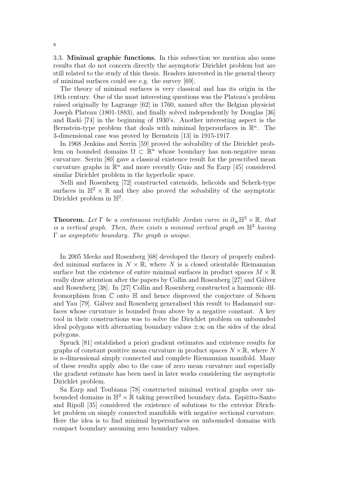3.3. Minimal graphic functions. In this subsection we mention also some results that do not concern directly the asymptotic Dirichlet problem but are still related to the study of this thesis. Readers interested in the general theory of minimal surfaces could see e.g. the survey [69].

The theory of minimal surfaces is very classical and has its origin in the 18th century. One of the most interesting questions was the Plateau's problem raised originally by Lagrange [62] in 1760, named after the Belgian physicist Joseph Plateau (1801-1883), and finally solved independently by Douglas [36] and Radó [74] in the beginning of 1930's. Another interesting aspect is the Bernstein-type problem that deals with minimal hypersurfaces in  $\mathbb{R}^n$ . The 3-dimensional case was proved by Bernstein [13] in 1915-1917.

In 1968 Jenkins and Serrin [59] proved the solvability of the Dirichlet problem on bounded domains  $\Omega \subset \mathbb{R}^n$  whose boundary has non-negative mean curvature. Serrin [80] gave a classical existence result for the prescribed mean curvature graphs in  $\mathbb{R}^n$  and more recently Guio and Sa Earp [45] considered similar Dirichlet problem in the hyperbolic space.

Nelli and Rosenberg [72] constructed catenoids, helicoids and Scherk-type surfaces in  $\mathbb{H}^2 \times \mathbb{R}$  and they also proved the solvability of the asymptotic Dirichlet problem in  $\mathbb{H}^2$ .

**Theorem.** Let  $\Gamma$  be a continuous rectifiable Jordan curve in  $\partial_{\infty} \mathbb{H}^2 \times \mathbb{R}$ , that is a vertical graph. Then, there exists a minimal vertical graph on  $\mathbb{H}^2$  having  $\Gamma$  as asymptotic boundary. The graph is unique.

In 2005 Meeks and Rosenberg [68] developed the theory of properly embedded minimal surfaces in  $N \times \mathbb{R}$ , where N is a closed orientable Riemannian surface but the existence of entire minimal surfaces in product spaces  $M \times \mathbb{R}$ really draw attention after the papers by Collin and Rosenberg [27] and Gálvez and Rosenberg [38]. In [27] Collin and Rosenberg constructed a harmonic diffeomorphism from  $\mathbb C$  onto  $\mathbb H$  and hence disproved the conjecture of Schoen and Yau [79]. Gálvez and Rosenberg generalised this result to Hadamard surfaces whose curvature is bounded from above by a negative constant. A key tool in their constructions was to solve the Dirichlet problem on unbounded ideal polygons with alternating boundary values  $\pm \infty$  on the sides of the ideal polygons.

Spruck [81] established a priori gradient estimates and existence results for graphs of constant positive mean curvature in product spaces  $N \times \mathbb{R}$ , where N is n-dimensional simply connected and complete Riemannian manifold. Many of these results apply also to the case of zero mean curvature and especially the gradient estimate has been used in later works considering the asymptotic Dirichlet problem.

Sa Earp and Toubiana [78] constructed minimal vertical graphs over unbounded domains in  $\mathbb{H}^2 \times \mathbb{R}$  taking prescribed boundary data. Espírito-Santo and Ripoll [35] considered the existence of solutions to the exterior Dirichlet problem on simply connected manifolds with negative sectional curvature. Here the idea is to find minimal hypersurfaces on unbounded domains with compact boundary assuming zero boundary values.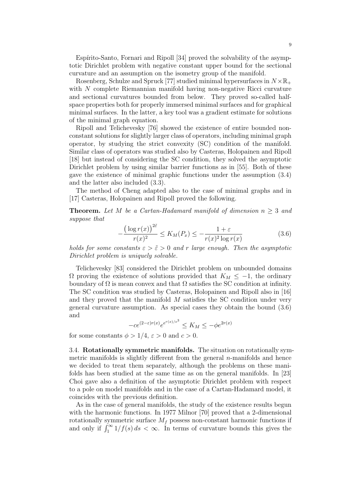Espírito-Santo, Fornari and Ripoll [34] proved the solvability of the asymptotic Dirichlet problem with negative constant upper bound for the sectional curvature and an assumption on the isometry group of the manifold.

Rosenberg, Schulze and Spruck [77] studied minimal hypersurfaces in  $N \times \mathbb{R}_+$ with N complete Riemannian manifold having non-negative Ricci curvature and sectional curvatures bounded from below. They proved so-called halfspace properties both for properly immersed minimal surfaces and for graphical minimal surfaces. In the latter, a key tool was a gradient estimate for solutions of the minimal graph equation.

Ripoll and Telichevesky [76] showed the existence of entire bounded nonconstant solutions for slightly larger class of operators, including minimal graph operator, by studying the strict convexity (SC) condition of the manifold. Similar class of operators was studied also by Casteras, Holopainen and Ripoll [18] but instead of considering the SC condition, they solved the asymptotic Dirichlet problem by using similar barrier functions as in [55]. Both of these gave the existence of minimal graphic functions under the assumption (3.4) and the latter also included (3.3).

The method of Cheng adapted also to the case of minimal graphs and in [17] Casteras, Holopainen and Ripoll proved the following.

**Theorem.** Let M be a Cartan-Hadamard manifold of dimension  $n \geq 3$  and suppose that

$$
-\frac{(\log r(x))^{2\tilde{\varepsilon}}}{r(x)^2} \le K_M(P_x) \le -\frac{1+\varepsilon}{r(x)^2 \log r(x)}\tag{3.6}
$$

holds for some constants  $\varepsilon > \tilde{\varepsilon} > 0$  and r large enough. Then the asymptotic Dirichlet problem is uniquely solvable.

Telichevesky [83] considered the Dirichlet problem on unbounded domains  $\Omega$  proving the existence of solutions provided that  $K_M \leq -1$ , the ordinary boundary of  $\Omega$  is mean convex and that  $\Omega$  satisfies the SC condition at infinity. The SC condition was studied by Casteras, Holopainen and Ripoll also in [16] and they proved that the manifold  $M$  satisfies the SC condition under very general curvature assumption. As special cases they obtain the bound (3.6) and

$$
-c e^{(2-\varepsilon)r(x)}e^{e^{r(x)/\varepsilon^3}}\leq K_M\leq -\phi e^{2r(x)}
$$

for some constants  $\phi > 1/4$ ,  $\varepsilon > 0$  and  $c > 0$ .

3.4. Rotationally symmetric manifolds. The situation on rotationally symmetric manifolds is slightly different from the general  $n$ -manifolds and hence we decided to treat them separately, although the problems on these manifolds has been studied at the same time as on the general manifolds. In [23] Choi gave also a definition of the asymptotic Dirichlet problem with respect to a pole on model manifolds and in the case of a Cartan-Hadamard model, it coincides with the previous definition.

As in the case of general manifolds, the study of the existence results begun with the harmonic functions. In 1977 Milnor [70] proved that a 2-dimensional rotationally symmetric surface  $M_f$  possess non-constant harmonic functions if and only if  $\int_1^{\infty} 1/f(s) ds < \infty$ . In terms of curvature bounds this gives the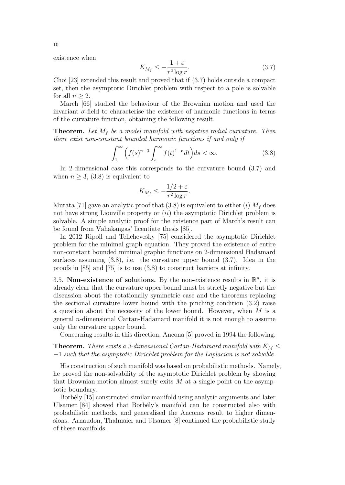existence when

$$
K_{M_f} \le -\frac{1+\varepsilon}{r^2 \log r}.\tag{3.7}
$$

Choi [23] extended this result and proved that if (3.7) holds outside a compact set, then the asymptotic Dirichlet problem with respect to a pole is solvable for all  $n > 2$ .

March [66] studied the behaviour of the Brownian motion and used the invariant  $\sigma$ -field to characterise the existence of harmonic functions in terms of the curvature function, obtaining the following result.

**Theorem.** Let  $M_f$  be a model manifold with negative radial curvature. Then there exist non-constant bounded harmonic functions if and only if

$$
\int_{1}^{\infty} \left( f(s)^{n-3} \int_{s}^{\infty} f(t)^{1-n} dt \right) ds < \infty. \tag{3.8}
$$

In 2-dimensional case this corresponds to the curvature bound (3.7) and when  $n \geq 3$ , (3.8) is equivalent to

$$
K_{M_f} \le -\frac{1/2 + \varepsilon}{r^2 \log r}.
$$

Murata [71] gave an analytic proof that  $(3.8)$  is equivalent to either  $(i)$   $M_f$  does not have strong Liouville property or  $(ii)$  the asymptotic Dirichlet problem is solvable. A simple analytic proof for the existence part of March's result can be found from Vähäkangas' licentiate thesis [85].

In 2012 Ripoll and Telichevesky [75] considered the asymptotic Dirichlet problem for the minimal graph equation. They proved the existence of entire non-constant bounded minimal graphic functions on 2-dimensional Hadamard surfaces assuming  $(3.8)$ , i.e. the curvature upper bound  $(3.7)$ . Idea in the proofs in [85] and [75] is to use (3.8) to construct barriers at infinity.

3.5. Non-existence of solutions. By the non-existence results in  $\mathbb{R}^n$ , it is already clear that the curvature upper bound must be strictly negative but the discussion about the rotationally symmetric case and the theorems replacing the sectional curvature lower bound with the pinching condition (3.2) raise a question about the necessity of the lower bound. However, when  $M$  is a general n-dimensional Cartan-Hadamard manifold it is not enough to assume only the curvature upper bound.

Concerning results in this direction, Ancona [5] proved in 1994 the following.

**Theorem.** There exists a 3-dimensional Cartan-Hadamard manifold with  $K_M \leq$ −1 such that the asymptotic Dirichlet problem for the Laplacian is not solvable.

His construction of such manifold was based on probabilistic methods. Namely, he proved the non-solvability of the asymptotic Dirichlet problem by showing that Brownian motion almost surely exits  $M$  at a single point on the asymptotic boundary.

Borbély [15] constructed similar manifold using analytic arguments and later Ulsamer [84] showed that Borbély's manifold can be constructed also with probabilistic methods, and generalised the Anconas result to higher dimensions. Arnaudon, Thalmaier and Ulsamer [8] continued the probabilistic study of these manifolds.

10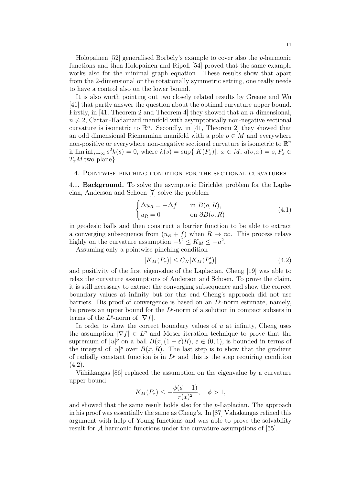Holopainen  $[52]$  generalised Borbély's example to cover also the *p*-harmonic functions and then Holopainen and Ripoll [54] proved that the same example works also for the minimal graph equation. These results show that apart from the 2-dimensional or the rotationally symmetric setting, one really needs to have a control also on the lower bound.

It is also worth pointing out two closely related results by Greene and Wu [41] that partly answer the question about the optimal curvature upper bound. Firstly, in [41, Theorem 2 and Theorem 4] they showed that an n-dimensional,  $n \neq 2$ , Cartan-Hadamard manifold with asymptotically non-negative sectional curvature is isometric to  $\mathbb{R}^n$ . Secondly, in [41, Theorem 2] they showed that an odd dimensional Riemannian manifold with a pole  $o \in M$  and everywhere non-positive or everywhere non-negative sectional curvature is isometric to  $\mathbb{R}^n$ if  $\liminf_{s \to \infty} s^2 k(s) = 0$ , where  $k(s) = \sup\{|K(P_x)| : x \in M, d(o, x) = s, P_x \in$  $T_xM$  two-plane}.

# 4. Pointwise pinching condition for the sectional curvatures

4.1. Background. To solve the asymptotic Dirichlet problem for the Laplacian, Anderson and Schoen [7] solve the problem

$$
\begin{cases} \Delta u_R = -\Delta f & \text{in } B(o, R), \\ u_R = 0 & \text{on } \partial B(o, R) \end{cases}
$$
 (4.1)

in geodesic balls and then construct a barrier function to be able to extract a converging subsequence from  $(u_R + f)$  when  $R \to \infty$ . This process relays highly on the curvature assumption  $-b^2 \le K_M \le -a^2$ .

Assuming only a pointwise pinching condition

$$
|K_M(P_x)| \le C_K |K_M(P'_x)| \tag{4.2}
$$

and positivity of the first eigenvalue of the Laplacian, Cheng [19] was able to relax the curvature assumptions of Anderson and Schoen. To prove the claim, it is still necessary to extract the converging subsequence and show the correct boundary values at infinity but for this end Cheng's approach did not use barriers. His proof of convergence is based on an  $L^p$ -norm estimate, namely, he proves an upper bound for the  $L^p$ -norm of a solution in compact subsets in terms of the  $L^p$ -norm of  $|\nabla f|$ .

In order to show the correct boundary values of  $u$  at infinity, Cheng uses the assumption  $|\nabla f| \in L^p$  and Moser iteration technique to prove that the supremum of  $|u|^p$  on a ball  $B(x, (1 - \varepsilon)R)$ ,  $\varepsilon \in (0, 1)$ , is bounded in terms of the integral of  $|u|^p$  over  $B(x,R)$ . The last step is to show that the gradient of radially constant function is in  $L^p$  and this is the step requiring condition  $(4.2).$ 

Vähäkangas [86] replaced the assumption on the eigenvalue by a curvature upper bound

$$
K_M(P_x) \le -\frac{\phi(\phi - 1)}{r(x)^2}, \quad \phi > 1,
$$

and showed that the same result holds also for the  $p$ -Laplacian. The approach in his proof was essentially the same as Cheng's. In  $[87]$  Vähäkangas refined this argument with help of Young functions and was able to prove the solvability result for A-harmonic functions under the curvature assumptions of [55].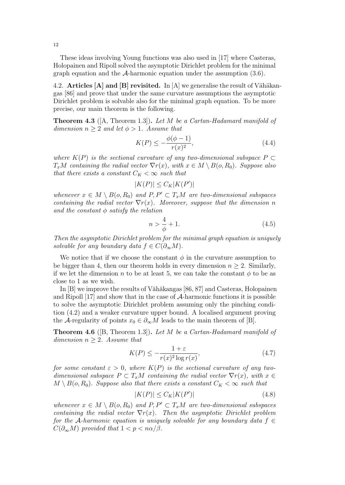These ideas involving Young functions was also used in [17] where Casteras, Holopainen and Ripoll solved the asymptotic Dirichlet problem for the minimal graph equation and the  $A$ -harmonic equation under the assumption  $(3.6)$ .

4.2. Articles [A] and [B] revisited. In  $|A|$  we generalise the result of Vähäkangas [86] and prove that under the same curvature assumptions the asymptotic Dirichlet problem is solvable also for the minimal graph equation. To be more precise, our main theorem is the following.

**Theorem 4.3** ( $[A,$  Theorem 1.3). Let M be a Cartan-Hadamard manifold of dimension  $n \geq 2$  and let  $\phi > 1$ . Assume that

$$
K(P) \le -\frac{\phi(\phi - 1)}{r(x)^2},
$$
\n(4.4)

where  $K(P)$  is the sectional curvature of any two-dimensional subspace  $P \subset$  $T_xM$  containing the radial vector  $\nabla r(x)$ , with  $x \in M \setminus B(o, R_0)$ . Suppose also that there exists a constant  $C_K < \infty$  such that

$$
|K(P)| \leq C_K |K(P')|
$$

whenever  $x \in M \setminus B(o, R_0)$  and  $P, P' \subset T_xM$  are two-dimensional subspaces containing the radial vector  $\nabla r(x)$ . Moreover, suppose that the dimension n and the constant  $\phi$  satisfy the relation

$$
n > \frac{4}{\phi} + 1. \tag{4.5}
$$

Then the asymptotic Dirichlet problem for the minimal graph equation is uniquely solvable for any boundary data  $f \in C(\partial_{\infty}M)$ .

We notice that if we choose the constant  $\phi$  in the curvature assumption to be bigger than 4, then our theorem holds in every dimension  $n \geq 2$ . Similarly, if we let the dimension n to be at least 5, we can take the constant  $\phi$  to be as close to 1 as we wish.

In  $[B]$  we improve the results of Vähäkangas [86, 87] and Casteras, Holopainen and Ripoll [17] and show that in the case of A-harmonic functions it is possible to solve the asymptotic Dirichlet problem assuming only the pinching condition (4.2) and a weaker curvature upper bound. A localised argument proving the A-regularity of points  $x_0 \in \partial_{\infty}M$  leads to the main theorem of [B].

**Theorem 4.6** ([B, Theorem 1.3]). Let  $M$  be a Cartan-Hadamard manifold of dimension  $n \geq 2$ . Assume that

$$
K(P) \le -\frac{1+\varepsilon}{r(x)^2 \log r(x)},\tag{4.7}
$$

for some constant  $\varepsilon > 0$ , where  $K(P)$  is the sectional curvature of any twodimensional subspace  $P \subset T_xM$  containing the radial vector  $\nabla r(x)$ , with  $x \in$  $M \setminus B(o, R_0)$ . Suppose also that there exists a constant  $C_K < \infty$  such that

$$
|K(P)| \le C_K |K(P')| \tag{4.8}
$$

whenever  $x \in M \setminus B(o, R_0)$  and  $P, P' \subset T_xM$  are two-dimensional subspaces containing the radial vector  $\nabla r(x)$ . Then the asymptotic Dirichlet problem for the A-harmonic equation is uniquely solvable for any boundary data  $f \in$  $C(\partial_{\infty}M)$  provided that  $1 < p < n\alpha/\beta$ .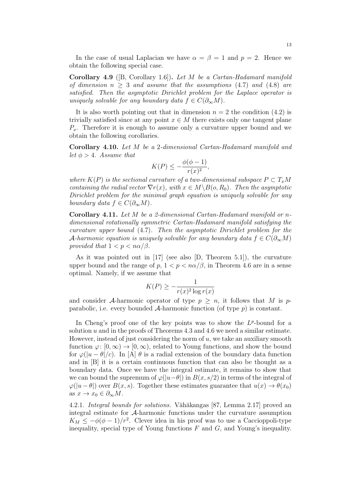In the case of usual Laplacian we have  $\alpha = \beta = 1$  and  $p = 2$ . Hence we obtain the following special case.

**Corollary 4.9** ([B, Corollary 1.6]). Let M be a Cartan-Hadamard manifold of dimension  $n \geq 3$  and assume that the assumptions (4.7) and (4.8) are satisfied. Then the asymptotic Dirichlet problem for the Laplace operator is uniquely solvable for any boundary data  $f \in C(\partial_{\infty}M)$ .

It is also worth pointing out that in dimension  $n = 2$  the condition (4.2) is trivially satisfied since at any point  $x \in M$  there exists only one tangent plane  $P_x$ . Therefore it is enough to assume only a curvature upper bound and we obtain the following corollaries.

Corollary 4.10. Let M be a 2-dimensional Cartan-Hadamard manifold and let  $\phi > 4$ . Assume that

$$
K(P) \le -\frac{\phi(\phi - 1)}{r(x)^2},
$$

where  $K(P)$  is the sectional curvature of a two-dimensional subspace  $P \subset T_xM$ containing the radial vector  $\nabla r(x)$ , with  $x \in M \backslash B(o, R_0)$ . Then the asymptotic Dirichlet problem for the minimal graph equation is uniquely solvable for any boundary data  $f \in C(\partial_{\infty}M)$ .

Corollary 4.11. Let M be a 2-dimensional Cartan-Hadamard manifold or ndimensional rotationally symmetric Cartan-Hadamard manifold satisfying the curvature upper bound (4.7). Then the asymptotic Dirichlet problem for the A-harmonic equation is uniquely solvable for any boundary data  $f \in C(\partial_{\infty}M)$ provided that  $1 < p < n\alpha/\beta$ .

As it was pointed out in [17] (see also [D, Theorem 5.1]), the curvature upper bound and the range of  $p, 1 < p < n\alpha/\beta$ , in Theorem 4.6 are in a sense optimal. Namely, if we assume that

$$
K(P) \ge -\frac{1}{r(x)^2 \log r(x)}
$$

and consider A-harmonic operator of type  $p \geq n$ , it follows that M is pparabolic, i.e. every bounded  $A$ -harmonic function (of type  $p$ ) is constant.

In Cheng's proof one of the key points was to show the  $L^p$ -bound for a solution  $u$  and in the proofs of Theorems 4.3 and 4.6 we need a similar estimate. However, instead of just considering the norm of  $u$ , we take an auxiliary smooth function  $\varphi: [0, \infty) \to [0, \infty)$ , related to Young functions, and show the bound for  $\varphi(|u-\theta|/c)$ . In [A]  $\theta$  is a radial extension of the boundary data function and in [B] it is a certain continuous function that can also be thought as a boundary data. Once we have the integral estimate, it remains to show that we can bound the supremum of  $\varphi(|u-\theta|)$  in  $B(x, s/2)$  in terms of the integral of  $\varphi(|u-\theta|)$  over  $B(x, s)$ . Together these estimates guarantee that  $u(x) \to \theta(x_0)$ as  $x \to x_0 \in \partial_{\infty} M$ .

4.2.1. Integral bounds for solutions. Vähäkangas [87, Lemma 2.17] proved an integral estimate for A-harmonic functions under the curvature assumption  $K_M \le -\phi(\phi-1)/r^2$ . Clever idea in his proof was to use a Caccioppoli-type inequality, special type of Young functions  $F$  and  $G$ , and Young's inequality.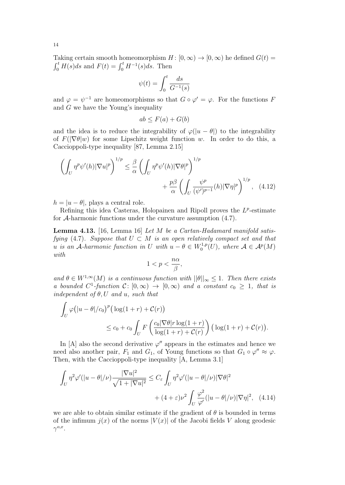Taking certain smooth homeomorphism  $H : [0, \infty) \to [0, \infty)$  he defined  $G(t) =$  $\int_0^t H(s)ds$  and  $F(t) = \int_0^t H^{-1}(s)ds$ . Then

$$
\psi(t)=\int_0^t\frac{ds}{G^{-1}(s)}
$$

and  $\varphi = \psi^{-1}$  are homeomorphisms so that  $G \circ \varphi' = \varphi$ . For the functions F and  $G$  we have the Young's inequality

$$
ab \le F(a) + G(b)
$$

and the idea is to reduce the integrability of  $\varphi(|u - \theta|)$  to the integrability of  $F(|\nabla \theta|w)$  for some Lipschitz weight function w. In order to do this, a Caccioppoli-type inequality [87, Lemma 2.15]

$$
\left(\int_{U} \eta^{p} \psi'(h) |\nabla u|^{p}\right)^{1/p} \leq \frac{\beta}{\alpha} \left(\int_{U} \eta^{p} \psi'(h) |\nabla \theta|^{p}\right)^{1/p} + \frac{p\beta}{\alpha} \left(\int_{U} \frac{\psi^{p}}{(\psi')^{p-1}}(h) |\nabla \eta|^{p}\right)^{1/p}, \quad (4.12)
$$

 $h = |u - \theta|$ , plays a central role.

Refining this idea Casteras, Holopainen and Ripoll proves the  $L^p$ -estimate for A-harmonic functions under the curvature assumption (4.7).

**Lemma 4.13.** [16, Lemma 16] Let  $M$  be a Cartan-Hadamard manifold satisfying (4.7). Suppose that  $U \subset M$  is an open relatively compact set and that u is an A-harmonic function in U with  $u - \theta \in W_0^{1,p}(U)$ , where  $\mathcal{A} \in \mathcal{A}^p(M)$ with

$$
1
$$

and  $\theta \in W^{1,\infty}(M)$  is a continuous function with  $||\theta||_{\infty} \leq 1$ . Then there exists a bounded  $C^1$ -function  $C: [0, \infty) \to [0, \infty)$  and a constant  $c_0 \geq 1$ , that is independent of  $\theta$ , U and u, such that

$$
\int_U \varphi\big(|u-\theta|/c_0\big)^p \big(\log(1+r) + \mathcal{C}(r)\big) \le c_0 + c_0 \int_U F\left(\frac{c_0 |\nabla \theta| r \log(1+r)}{\log(1+r) + \mathcal{C}(r)}\right) \big(\log(1+r) + \mathcal{C}(r)\big).
$$

In [A] also the second derivative  $\varphi''$  appears in the estimates and hence we need also another pair,  $F_1$  and  $G_1$ , of Young functions so that  $G_1 \circ \varphi'' \approx \varphi$ . Then, with the Caccioppoli-type inequality [A, Lemma 3.1]

$$
\int_{U} \eta^{2} \varphi'(|u - \theta|/\nu) \frac{|\nabla u|^{2}}{\sqrt{1 + |\nabla u|^{2}}} \leq C_{\varepsilon} \int_{U} \eta^{2} \varphi'(|u - \theta|/\nu) |\nabla \theta|^{2} + (4 + \varepsilon)\nu^{2} \int_{U} \frac{\varphi^{2}}{\varphi'}(|u - \theta|/\nu) |\nabla \eta|^{2}, \quad (4.14)
$$

we are able to obtain similar estimate if the gradient of  $\theta$  is bounded in terms of the infimum  $i(x)$  of the norms  $|V(x)|$  of the Jacobi fields V along geodesic  $\gamma^{o,x}$ .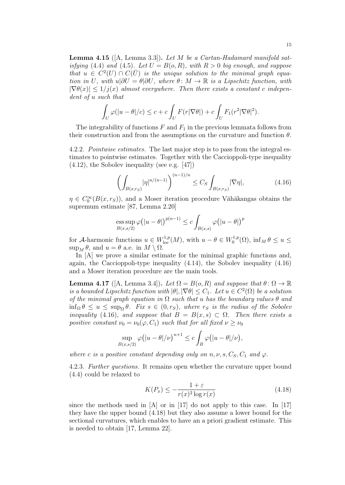**Lemma 4.15** ( $[A, \text{Lemma 3.3}]$ ). Let M be a Cartan-Hadamard manifold satisfying (4.4) and (4.5). Let  $U = B(o, R)$ , with  $R > 0$  big enough, and suppose that  $u \in C^2(U) \cap C(\overline{U})$  is the unique solution to the minimal graph equation in U, with  $u|\partial U = \theta|\partial U$ , where  $\theta: M \to \mathbb{R}$  is a Lipschitz function, with  $|\nabla \theta(x)| \leq 1/j(x)$  almost everywhere. Then there exists a constant c independent of u such that

$$
\int_U \varphi(|u-\theta|/c) \leq c + c \int_U F(r|\nabla \theta|) + c \int_U F_1(r^2|\nabla \theta|^2).
$$

The integrability of functions  $F$  and  $F_1$  in the previous lemmata follows from their construction and from the assumptions on the curvature and function  $\theta$ .

4.2.2. Pointwise estimates. The last major step is to pass from the integral estimates to pointwise estimates. Together with the Caccioppoli-type inequality (4.12), the Sobolev inequality (see e.g. [47])

$$
\left(\int_{B(x,r_S)} |\eta|^{n/(n-1)}\right)^{(n-1)/n} \le C_S \int_{B(x,r_S)} |\nabla \eta|,\tag{4.16}
$$

 $\eta \in C_0^{\infty}(B(x,r_S))$ , and a Moser iteration procedure Vähäkangas obtains the supremum estimate [87, Lemma 2.20]

ess sup 
$$
\varphi(|u - \theta|)^{p(n-1)} \le c \int_{B(x,s)} \varphi(|u - \theta|)^p
$$

for A-harmonic functions  $u \in W^{1,p}_{loc}(M)$ , with  $u - \theta \in W^{1,p}_0(\Omega)$ ,  $\inf_M \theta \le u \le \theta$  $\sup_M \theta$ , and  $u = \theta$  a.e. in  $M \setminus \Omega$ .

In [A] we prove a similar estimate for the minimal graphic functions and, again, the Caccioppoli-type inequality (4.14), the Sobolev inequality (4.16) and a Moser iteration procedure are the main tools.

**Lemma 4.17** ([A, Lemma 3.4]). Let  $\Omega = B(o, R)$  and suppose that  $\theta: \Omega \to \mathbb{R}$ is a bounded Lipschitz function with  $|\theta|, |\nabla \theta| \leq C_1$ . Let  $u \in C^2(\Omega)$  be a solution of the minimal graph equation in  $\Omega$  such that u has the boundary values  $\theta$  and  $\inf_{\Omega} \theta \leq u \leq \sup_{\Omega} \theta$ . Fix  $s \in (0, r_S)$ , where  $r_S$  is the radius of the Sobolev inequality (4.16), and suppose that  $B = B(x, s) \subset \Omega$ . Then there exists a positive constant  $\nu_0 = \nu_0(\varphi, C_1)$  such that for all fixed  $\nu \geq \nu_0$ 

$$
\sup_{B(x,s/2)} \varphi(|u-\theta|/\nu)^{n+1} \leq c \int_B \varphi(|u-\theta|/\nu),
$$

where c is a positive constant depending only on  $n, \nu, s, C_S, C_1$  and  $\varphi$ .

4.2.3. Further questions. It remains open whether the curvature upper bound (4.4) could be relaxed to

$$
K(P_x) \le -\frac{1+\varepsilon}{r(x)^2 \log r(x)}\tag{4.18}
$$

since the methods used in  $[A]$  or in [17] do not apply to this case. In [17] they have the upper bound (4.18) but they also assume a lower bound for the sectional curvatures, which enables to have an a priori gradient estimate. This is needed to obtain [17, Lemma 22].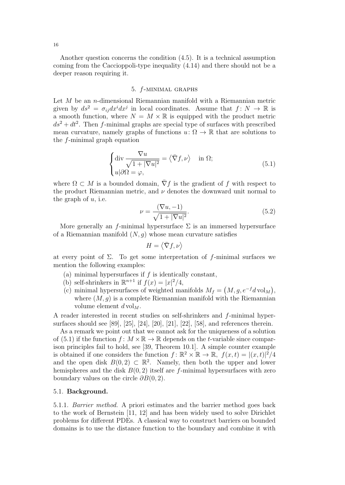Another question concerns the condition (4.5). It is a technical assumption coming from the Caccioppoli-type inequality (4.14) and there should not be a deeper reason requiring it.

## 5. f-minimal graphs

Let  $M$  be an *n*-dimensional Riemannian manifold with a Riemannian metric given by  $ds^2 = \sigma_{ij} dx^i dx^j$  in local coordinates. Assume that  $f: N \to \mathbb{R}$  is a smooth function, where  $N = M \times \mathbb{R}$  is equipped with the product metric  $ds^2 + dt^2$ . Then f-minimal graphs are special type of surfaces with prescribed mean curvature, namely graphs of functions  $u: \Omega \to \mathbb{R}$  that are solutions to the f-minimal graph equation

$$
\begin{cases} \operatorname{div} \frac{\nabla u}{\sqrt{1+|\nabla u|^2}} = \langle \bar{\nabla} f, \nu \rangle & \text{in } \Omega; \\ u|\partial \Omega = \varphi, \end{cases} \tag{5.1}
$$

where  $\Omega \subset M$  is a bounded domain,  $\nabla f$  is the gradient of f with respect to the product Riemannian metric, and  $\nu$  denotes the downward unit normal to the graph of  $u$ , i.e.

$$
\nu = \frac{(\nabla u, -1)}{\sqrt{1 + |\nabla u|^2}}.\tag{5.2}
$$

More generally an f-minimal hypersurface  $\Sigma$  is an immersed hypersurface of a Riemannian manifold  $(N, g)$  whose mean curvature satisfies

$$
H = \langle \bar{\nabla} f, \nu \rangle
$$

at every point of  $\Sigma$ . To get some interpretation of f-minimal surfaces we mention the following examples:

- (a) minimal hypersurfaces if  $f$  is identically constant,
- (b) self-shrinkers in  $\mathbb{R}^{n+1}$  if  $f(x) = |x|^2/4$ ,
- (c) minimal hypersurfaces of weighted manifolds  $M_f = (M, g, e^{-f} d \text{vol}_M)$ , where  $(M, q)$  is a complete Riemannian manifold with the Riemannian volume element  $d \text{vol}_M$ .

A reader interested in recent studies on self-shrinkers and f-minimal hypersurfaces should see [89], [25], [24], [20], [21], [22], [58], and references therein.

As a remark we point out that we cannot ask for the uniqueness of a solution of (5.1) if the function  $f: M \times \mathbb{R} \to \mathbb{R}$  depends on the t-variable since comparison principles fail to hold, see [39, Theorem 10.1]. A simple counter example is obtained if one considers the function  $f: \mathbb{R}^2 \times \mathbb{R} \to \mathbb{R}$ ,  $f(x,t) = |(x,t)|^2/4$ and the open disk  $B(0,2) \subset \mathbb{R}^2$ . Namely, then both the upper and lower hemispheres and the disk  $B(0, 2)$  itself are f-minimal hypersurfaces with zero boundary values on the circle  $\partial B(0, 2)$ .

#### 5.1. Background.

5.1.1. Barrier method. A priori estimates and the barrier method goes back to the work of Bernstein [11, 12] and has been widely used to solve Dirichlet problems for different PDEs. A classical way to construct barriers on bounded domains is to use the distance function to the boundary and combine it with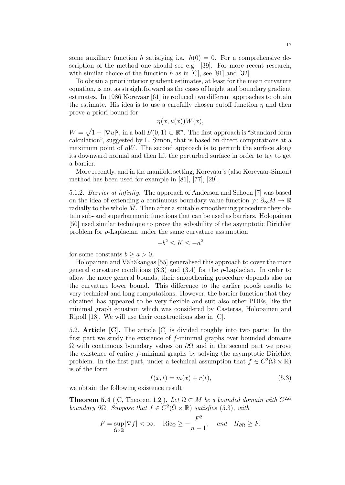some auxiliary function h satisfying i.a.  $h(0) = 0$ . For a comprehensive description of the method one should see e.g. [39]. For more recent research, with similar choice of the function h as in  $[C]$ , see [81] and [32].

To obtain a priori interior gradient estimates, at least for the mean curvature equation, is not as straightforward as the cases of height and boundary gradient estimates. In 1986 Korevaar [61] introduced two different approaches to obtain the estimate. His idea is to use a carefully chosen cutoff function  $\eta$  and then prove a priori bound for

$$
\eta(x, u(x))W(x),
$$

 $W = \sqrt{1 + |\nabla u|^2}$ , in a ball  $B(0, 1) \subset \mathbb{R}^n$ . The first approach is "Standard form calculation", suggested by L. Simon, that is based on direct computations at a maximum point of  $\eta W$ . The second approach is to perturb the surface along its downward normal and then lift the perturbed surface in order to try to get a barrier.

More recently, and in the manifold setting, Korevaar's (also Korevaar-Simon) method has been used for example in [81], [77], [29].

5.1.2. Barrier at infinity. The approach of Anderson and Schoen [7] was based on the idea of extending a continuous boundary value function  $\varphi: \partial_{\infty} M \to \mathbb{R}$ radially to the whole  $M$ . Then after a suitable smoothening procedure they obtain sub- and superharmonic functions that can be used as barriers. Holopainen [50] used similar technique to prove the solvability of the asymptotic Dirichlet problem for p-Laplacian under the same curvature assumption

$$
-b^2 \le K \le -a^2
$$

for some constants  $b \geq a > 0$ .

Holopainen and Vähäkangas [55] generalised this approach to cover the more general curvature conditions  $(3.3)$  and  $(3.4)$  for the *p*-Laplacian. In order to allow the more general bounds, their smoothening procedure depends also on the curvature lower bound. This difference to the earlier proofs results to very technical and long computations. However, the barrier function that they obtained has appeared to be very flexible and suit also other PDEs, like the minimal graph equation which was considered by Casteras, Holopainen and Ripoll [18]. We will use their constructions also in [C].

5.2. Article [C]. The article [C] is divided roughly into two parts: In the first part we study the existence of f-minimal graphs over bounded domains Ω with continuous boundary values on ∂Ω and in the second part we prove the existence of entire f-minimal graphs by solving the asymptotic Dirichlet problem. In the first part, under a technical assumption that  $f \in C^2(\bar{\Omega} \times \mathbb{R})$ is of the form

$$
f(x,t) = m(x) + r(t),
$$
\n(5.3)

we obtain the following existence result.

**Theorem 5.4** ([C, Theorem 1.2]). Let  $\Omega \subset M$  be a bounded domain with  $C^{2,\alpha}$ boundary  $\partial\Omega$ . Suppose that  $f \in C^2(\overline{\Omega} \times \mathbb{R})$  satisfies (5.3), with

$$
F = \sup_{\bar{\Omega} \times \mathbb{R}} |\bar{\nabla} f| < \infty, \quad \text{Ric}_{\Omega} \ge -\frac{F^2}{n-1}, \quad \text{and} \quad H_{\partial \Omega} \ge F.
$$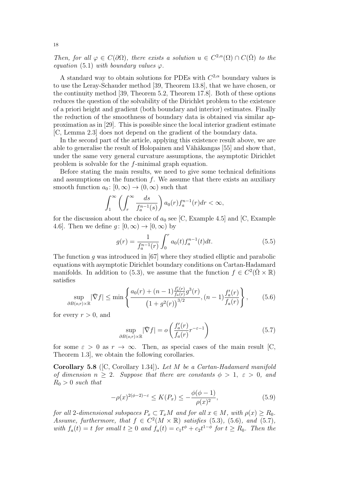Then, for all  $\varphi \in C(\partial \Omega)$ , there exists a solution  $u \in C^{2,\alpha}(\Omega) \cap C(\overline{\Omega})$  to the equation (5.1) with boundary values  $\varphi$ .

A standard way to obtain solutions for PDEs with  $C^{2,\alpha}$  boundary values is to use the Leray-Schauder method [39, Theorem 13.8], that we have chosen, or the continuity method [39, Theorem 5.2, Theorem 17.8]. Both of these options reduces the question of the solvability of the Dirichlet problem to the existence of a priori height and gradient (both boundary and interior) estimates. Finally the reduction of the smoothness of boundary data is obtained via similar approximation as in [29]. This is possible since the local interior gradient estimate [C, Lemma 2.3] does not depend on the gradient of the boundary data.

In the second part of the article, applying this existence result above, we are able to generalise the result of Holopainen and Vähäkangas [55] and show that, under the same very general curvature assumptions, the asymptotic Dirichlet problem is solvable for the f-minimal graph equation.

Before stating the main results, we need to give some technical definitions and assumptions on the function  $f$ . We assume that there exists an auxiliary smooth function  $a_0: [0, \infty) \to (0, \infty)$  such that

$$
\int_1^{\infty} \left( \int_r^{\infty} \frac{ds}{f_a^{n-1}(s)} \right) a_0(r) f_a^{n-1}(r) dr < \infty,
$$

for the discussion about the choice of  $a_0$  see [C, Example 4.5] and [C, Example 4.6]. Then we define  $q: [0, \infty) \to [0, \infty)$  by

$$
g(r) = \frac{1}{f_a^{n-1}(r)} \int_0^r a_0(t) f_a^{n-1}(t) dt.
$$
 (5.5)

The function  $q$  was introduced in [67] where they studied elliptic and parabolic equations with asymptotic Dirichlet boundary conditions on Cartan-Hadamard manifolds. In addition to (5.3), we assume that the function  $f \in C^2(\bar{\Omega} \times \mathbb{R})$ satisfies

$$
\sup_{\partial B(o,r)\times\mathbb{R}} |\bar{\nabla} f| \le \min\left\{ \frac{a_0(r) + (n-1)\frac{f_a'(r)}{f_a(r)}g^3(r)}{\left(1+g^2(r)\right)^{3/2}}, (n-1)\frac{f_a'(r)}{f_a(r)} \right\},\tag{5.6}
$$

for every  $r > 0$ , and

$$
\sup_{\partial B(o,r)\times\mathbb{R}} |\bar{\nabla}f| = o\left(\frac{f_a'(r)}{f_a(r)}r^{-\varepsilon-1}\right)
$$
\n(5.7)

for some  $\varepsilon > 0$  as  $r \to \infty$ . Then, as special cases of the main result [C, Theorem 1.3], we obtain the following corollaries.

Corollary 5.8 ([C, Corollary 1.34]). Let M be a Cartan-Hadamard manifold of dimension  $n > 2$ . Suppose that there are constants  $\phi > 1$ ,  $\varepsilon > 0$ , and  $R_0 > 0$  such that

$$
-\rho(x)^{2(\phi-2)-\varepsilon} \le K(P_x) \le -\frac{\phi(\phi-1)}{\rho(x)^2},\tag{5.9}
$$

for all 2-dimensional subspaces  $P_x \subset T_xM$  and for all  $x \in M$ , with  $\rho(x) \ge R_0$ . Assume, furthermore, that  $f \in C^2(M \times \mathbb{R})$  satisfies (5.3), (5.6), and (5.7), with  $f_a(t) = t$  for small  $t \geq 0$  and  $f_a(t) = c_1 t^{\phi} + c_2 t^{1-\phi}$  for  $t \geq R_0$ . Then the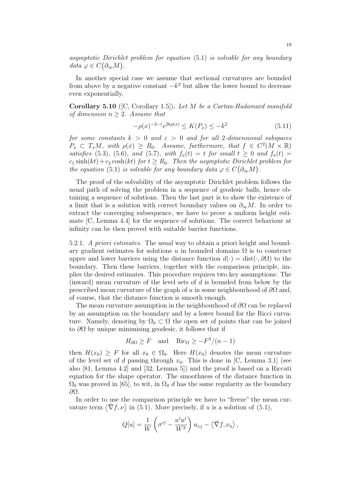asymptotic Dirichlet problem for equation (5.1) is solvable for any boundary  $data \varphi \in C(\partial_{\infty} M)$ .

In another special case we assume that sectional curvatures are bounded from above by a negative constant  $-k^2$  but allow the lower bound to decrease even exponentially.

**Corollary 5.10** ([C, Corollary 1.5]). Let M be a Cartan-Hadamard manifold of dimension  $n > 2$ . Assume that

$$
-\rho(x)^{-2-\varepsilon}e^{2k\rho(x)} \le K(P_x) \le -k^2 \tag{5.11}
$$

for some constants  $k > 0$  and  $\varepsilon > 0$  and for all 2-dimensional subspaces  $P_x \subset T_xM$ , with  $\rho(x) \ge R_0$ . Assume, furthermore, that  $f \in C^2(M \times \mathbb{R})$ satisfies (5.3), (5.6), and (5.7), with  $f_a(t) = t$  for small  $t \ge 0$  and  $f_a(t) =$  $c_1 \sinh(kt) + c_2 \cosh(kt)$  for  $t \geq R_0$ . Then the asymptotic Dirichlet problem for the equation (5.1) is solvable for any boundary data  $\varphi \in C(\partial_{\infty}M)$ .

The proof of the solvability of the asymptotic Dirichlet problem follows the usual path of solving the problem in a sequence of geodesic balls, hence obtaining a sequence of solutions. Then the last part is to show the existence of a limit that is a solution with correct boundary values on  $\partial_{\infty}M$ . In order to extract the converging subsequence, we have to prove a uniform height estimate [C, Lemma 4.4] for the sequence of solutions. The correct behaviour at infinity can be then proved with suitable barrier functions.

5.2.1. A priori estimates. The usual way to obtain a priori height and boundary gradient estimates for solutions u in bounded domains  $\Omega$  is to construct upper and lower barriers using the distance function  $d(\cdot) = \text{dist}(\cdot, \partial\Omega)$  to the boundary. Then these barriers, together with the comparison principle, implies the desired estimates. This procedure requires two key assumptions: The (inward) mean curvature of the level sets of d is bounded from below by the prescribed mean curvature of the graph of u in some neighbourhood of  $\partial\Omega$  and, of course, that the distance function is smooth enough.

The mean curvature assumption in the neighbourhood of  $\partial\Omega$  can be replaced by an assumption on the boundary and by a lower bound for the Ricci curvature. Namely, denoting by  $\Omega_0 \subset \Omega$  the open set of points that can be joined to  $\partial\Omega$  by unique minimising geodesic, it follows that if

$$
H_{\partial\Omega} \geq F
$$
 and  $Ric_{\Omega} \geq -F^2/(n-1)$ 

then  $H(x_0) \geq F$  for all  $x_0 \in \Omega_0$ . Here  $H(x_0)$  denotes the mean curvature of the level set of d passing through  $x_0$ . This is done in [C, Lemma 3.1] (see also [81, Lemma 4.2] and [32, Lemma 5]) and the proof is based on a Riccati equation for the shape operator. The smoothness of the distance function in  $\Omega_0$  was proved in [65], to wit, in  $\Omega_0$  d has the same regularity as the boundary ∂Ω.

In order to use the comparison principle we have to "freeze" the mean curvature term  $\langle \bar{\nabla} f, \nu \rangle$  in (5.1). More precisely, if u is a solution of (5.1),

$$
Q[u] = \frac{1}{W} \left( \sigma^{ij} - \frac{u^i u^j}{W^2} \right) u_{i;j} - \langle \bar{\nabla} f, \nu_u \rangle,
$$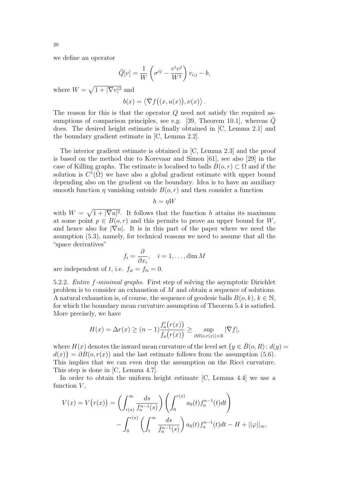we define an operator

$$
\tilde{Q}[v] = \frac{1}{W} \left( \sigma^{ij} - \frac{v^i v^j}{W^2} \right) v_{i;j} - b,
$$

where  $W = \sqrt{1 + |\nabla v|^2}$  and

$$
b(x) = \langle \bar{\nabla} f((x, u(x)), \nu(x) \rangle.
$$

The reason for this is that the operator Q need not satisfy the required assumptions of comparison principles, see e.g. [39, Theorem 10.1], whereas  $\tilde{Q}$ does. The desired height estimate is finally obtained in [C, Lemma 2.1] and the boundary gradient estimate in [C, Lemma 2.2].

The interior gradient estimate is obtained in [C, Lemma 2.3] and the proof is based on the method due to Korevaar and Simon [61], see also [29] in the case of Killing graphs. The estimate is localised to balls  $B(o, r) \subset \Omega$  and if the solution is  $C^{\mathcal{I}}(\overline{\Omega})$  we have also a global gradient estimate with upper bound depending also on the gradient on the boundary. Idea is to have an auxiliary smooth function  $\eta$  vanishing outside  $B(o, r)$  and then consider a function

$$
h = \eta W
$$

with  $W = \sqrt{1 + |\nabla u|^2}$ . It follows that the function h attains its maximum at some point  $p \in B(o,r)$  and this permits to prove an upper bound for W, and hence also for  $|\nabla u|$ . It is in this part of the paper where we need the asumption (5.3), namely, for technical reasons we need to assume that all the "space derivatives"

$$
f_i = \frac{\partial}{\partial x_i}, \quad i = 1, \dots, \dim M
$$

are independent of t, i.e.  $f_{it} = f_{ti} = 0$ .

5.2.2. Entire f-minimal graphs. First step of solving the asymptotic Dirichlet problem is to consider an exhaustion of M and obtain a sequence of solutions. A natural exhaustion is, of course, the sequence of geodesic balls  $B(o, k)$ ,  $k \in \mathbb{N}$ , for which the boundary mean curvature assumption of Theorem 5.4 is satisfied. More precisely, we have

$$
H(x) = \Delta r(x) \ge (n-1) \frac{f_a'(r(x))}{f_a(r(x))} \ge \sup_{\partial B(o, r(x)) \times \mathbb{R}} |\overline{\nabla} f|,
$$

where  $H(x)$  denotes the inward mean curvature of the level set  $\{y \in B(o, R): d(y) =$  $d(x) = \partial B(o, r(x))$  and the last estimate follows from the assumption (5.6). This implies that we can even drop the assumption on the Ricci curvature. This step is done in [C, Lemma 4.7].

In order to obtain the uniform height estimate [C, Lemma 4.4] we use a function  $V$ ,

$$
V(x) = V(r(x)) = \left(\int_{r(x)}^{\infty} \frac{ds}{f_a^{n-1}(s)}\right) \left(\int_0^{r(x)} a_0(t) f_a^{n-1}(t) dt\right) - \int_0^{r(x)} \left(\int_t^{\infty} \frac{ds}{f_a^{n-1}(s)}\right) a_0(t) f_a^{n-1}(t) dt - H + ||\varphi||_{\infty},
$$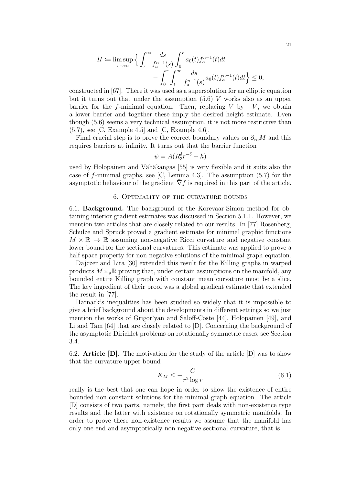$$
H \coloneqq \limsup_{r \to \infty} \Big\{ \int_r^{\infty} \frac{ds}{f_a^{n-1}(s)} \int_0^r a_0(t) f_a^{n-1}(t) dt - \int_0^r \int_t^{\infty} \frac{ds}{f_a^{n-1}(s)} a_0(t) f_a^{n-1}(t) dt \Big\} \le 0,
$$

constructed in [67]. There it was used as a supersolution for an elliptic equation but it turns out that under the assumption  $(5.6)$  V works also as an upper barrier for the f-minimal equation. Then, replacing V by  $-V$ , we obtain a lower barrier and together these imply the desired height estimate. Even though (5.6) seems a very technical assumption, it is not more restrictive than  $(5.7)$ , see [C, Example 4.5] and [C, Example 4.6].

Final crucial step is to prove the correct boundary values on  $\partial_{\infty}M$  and this requires barriers at infinity. It turns out that the barrier function

$$
\psi = A(R_3^{\delta}r^{-\delta} + h)
$$

used by Holopainen and Vähäkangas [55] is very flexible and it suits also the case of f-minimal graphs, see [C, Lemma 4.3]. The assumption  $(5.7)$  for the asymptotic behaviour of the gradient  $\nabla f$  is required in this part of the article.

# 6. Optimality of the curvature bounds

6.1. Background. The background of the Korevaar-Simon method for obtaining interior gradient estimates was discussed in Section 5.1.1. However, we mention two articles that are closely related to our results. In [77] Rosenberg, Schulze and Spruck proved a gradient estimate for minimal graphic functions  $M \times \mathbb{R} \to \mathbb{R}$  assuming non-negative Ricci curvature and negative constant lower bound for the sectional curvatures. This estimate was applied to prove a half-space property for non-negative solutions of the minimal graph equation.

Dajczer and Lira [30] extended this result for the Killing graphs in warped products  $M \times_{\rho} \mathbb{R}$  proving that, under certain assumptions on the manifold, any bounded entire Killing graph with constant mean curvature must be a slice. The key ingredient of their proof was a global gradient estimate that extended the result in [77].

Harnack's inequalities has been studied so widely that it is impossible to give a brief background about the developments in different settings so we just mention the works of Grigor'yan and Saloff-Coste [44], Holopainen [49], and Li and Tam [64] that are closely related to [D]. Concerning the background of the asymptotic Dirichlet problems on rotationally symmetric cases, see Section 3.4.

6.2. Article  $[D]$ . The motivation for the study of the article  $[D]$  was to show that the curvature upper bound

$$
K_M \le -\frac{C}{r^2 \log r} \tag{6.1}
$$

really is the best that one can hope in order to show the existence of entire bounded non-constant solutions for the minimal graph equation. The article [D] consists of two parts, namely, the first part deals with non-existence type results and the latter with existence on rotationally symmetric manifolds. In order to prove these non-existence results we assume that the manifold has only one end and asymptotically non-negative sectional curvature, that is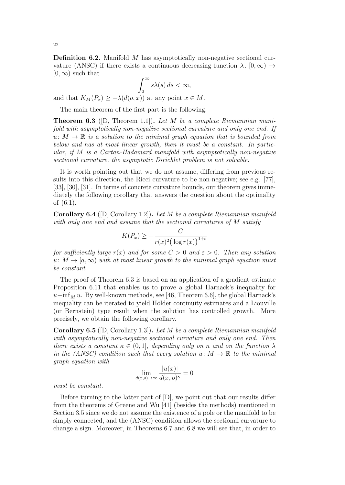**Definition 6.2.** Manifold M has asymptotically non-negative sectional curvature (ANSC) if there exists a continuous decreasing function  $\lambda: [0, \infty) \to$  $[0, \infty)$  such that

$$
\int_0^\infty s\lambda(s)\,ds < \infty,
$$

and that  $K_M(P_x) \geq -\lambda(d(o, x))$  at any point  $x \in M$ .

The main theorem of the first part is the following.

**Theorem 6.3** ([D, Theorem 1.1]). Let M be a complete Riemannian manifold with asymptotically non-negative sectional curvature and only one end. If  $u: M \to \mathbb{R}$  is a solution to the minimal graph equation that is bounded from below and has at most linear growth, then it must be a constant. In particular, if M is a Cartan-Hadamard manifold with asymptotically non-negative sectional curvature, the asymptotic Dirichlet problem is not solvable.

It is worth pointing out that we do not assume, differing from previous results into this direction, the Ricci curvature to be non-negative; see e.g. [77], [33], [30], [31]. In terms of concrete curvature bounds, our theorem gives immediately the following corollary that answers the question about the optimality of (6.1).

**Corollary 6.4** ([D, Corollary 1.2]). Let M be a complete Riemannian manifold with only one end and assume that the sectional curvatures of M satisfy

$$
K(P_x) \ge -\frac{C}{r(x)^2 \left(\log r(x)\right)^{1+\varepsilon}}
$$

for sufficiently large  $r(x)$  and for some  $C > 0$  and  $\varepsilon > 0$ . Then any solution  $u: M \to [a, \infty)$  with at most linear growth to the minimal graph equation must be constant.

The proof of Theorem 6.3 is based on an application of a gradient estimate Proposition 6.11 that enables us to prove a global Harnack's inequality for  $u-\inf_M u$ . By well-known methods, see [46, Theorem 6.6], the global Harnack's inequality can be iterated to yield Hölder continuity estimates and a Liouville (or Bernstein) type result when the solution has controlled growth. More precisely, we obtain the following corollary.

**Corollary 6.5** ([D, Corollary 1.3]). Let M be a complete Riemannian manifold with asymptotically non-negative sectional curvature and only one end. Then there exists a constant  $\kappa \in (0,1]$ , depending only on n and on the function  $\lambda$ in the (ANSC) condition such that every solution  $u: M \to \mathbb{R}$  to the minimal graph equation with

$$
\lim_{d(x,o)\to\infty} \frac{|u(x)|}{d(x,o)^{\kappa}} = 0
$$

must be constant.

Before turning to the latter part of [D], we point out that our results differ from the theorems of Greene and Wu [41] (besides the methods) mentioned in Section 3.5 since we do not assume the existence of a pole or the manifold to be simply connected, and the (ANSC) condition allows the sectional curvature to change a sign. Moreover, in Theorems 6.7 and 6.8 we will see that, in order to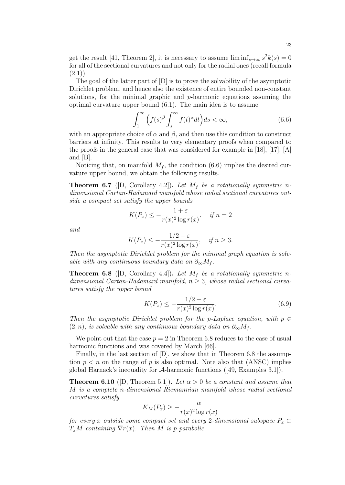get the result [41, Theorem 2], it is necessary to assume  $\liminf_{s\to\infty} s^2k(s) = 0$ for all of the sectional curvatures and not only for the radial ones (recall formula  $(2.1)$ .

The goal of the latter part of [D] is to prove the solvability of the asymptotic Dirichlet problem, and hence also the existence of entire bounded non-constant solutions, for the minimal graphic and  $p$ -harmonic equations assuming the optimal curvature upper bound (6.1). The main idea is to assume

$$
\int_{1}^{\infty} \left( f(s)^{\beta} \int_{s}^{\infty} f(t)^{\alpha} dt \right) ds < \infty, \tag{6.6}
$$

with an appropriate choice of  $\alpha$  and  $\beta$ , and then use this condition to construct barriers at infinity. This results to very elementary proofs when compared to the proofs in the general case that was considered for example in [18], [17], [A] and [B].

Noticing that, on manifold  $M_f$ , the condition (6.6) implies the desired curvature upper bound, we obtain the following results.

**Theorem 6.7** ([D, Corollary 4.2]). Let  $M_f$  be a rotationally symmetric ndimensional Cartan-Hadamard manifold whose radial sectional curvatures outside a compact set satisfy the upper bounds

$$
K(P_x) \le -\frac{1+\varepsilon}{r(x)^2 \log r(x)}, \quad \text{if } n = 2
$$

and

$$
K(P_x) \le -\frac{1/2 + \varepsilon}{r(x)^2 \log r(x)}, \quad \text{if } n \ge 3.
$$

Then the asymptotic Dirichlet problem for the minimal graph equation is solvable with any continuous boundary data on  $\partial_{\infty}M_f$ .

**Theorem 6.8** ([D, Corollary 4.4]). Let  $M_f$  be a rotationally symmetric ndimensional Cartan-Hadamard manifold,  $n \geq 3$ , whose radial sectional curvatures satisfy the upper bound

$$
K(P_x) \le -\frac{1/2 + \varepsilon}{r(x)^2 \log r(x)}.\tag{6.9}
$$

Then the asymptotic Dirichlet problem for the p-Laplace equation, with  $p \in$  $(2, n)$ , is solvable with any continuous boundary data on  $\partial_{\infty} M_f$ .

We point out that the case  $p = 2$  in Theorem 6.8 reduces to the case of usual harmonic functions and was covered by March [66].

Finally, in the last section of [D], we show that in Theorem 6.8 the assumption  $p < n$  on the range of p is also optimal. Note also that (ANSC) implies global Harnack's inequality for  $\mathcal A$ -harmonic functions ([49, Examples 3.1]).

**Theorem 6.10** ([D, Theorem 5.1]). Let  $\alpha > 0$  be a constant and assume that M is a complete n-dimensional Riemannian manifold whose radial sectional curvatures satisfy

$$
K_M(P_x) \ge -\frac{\alpha}{r(x)^2 \log r(x)}
$$

for every x outside some compact set and every 2-dimensional subspace  $P_x \subset$  $T_xM$  containing  $\nabla r(x)$ . Then M is p-parabolic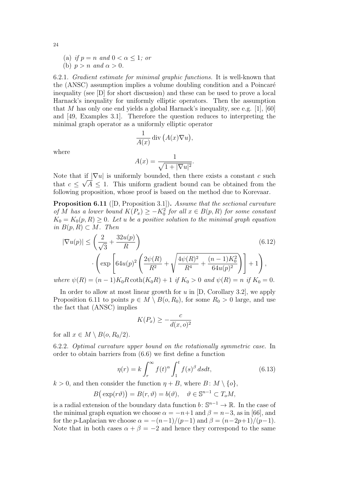- (a) if  $p = n$  and  $0 < \alpha \leq 1$ ; or
- (b)  $p > n$  and  $\alpha > 0$ .

6.2.1. Gradient estimate for minimal graphic functions. It is well-known that the (ANSC) assumption implies a volume doubling condition and a Poincaré inequality (see [D] for short discussion) and these can be used to prove a local Harnack's inequality for uniformly elliptic operators. Then the assumption that M has only one end yields a global Harnack's inequality, see e.g. [1], [60] and [49, Examples 3.1]. Therefore the question reduces to interpreting the minimal graph operator as a uniformly elliptic operator

$$
\frac{1}{A(x)} \operatorname{div} (A(x)\nabla u),
$$
  

$$
A(x) = \frac{1}{2\pi\sqrt{2\pi}} \int_{-\infty}^{\infty} \frac{1}{2\pi\sqrt{2\pi}} \, dx
$$

where

$$
A(x) = \frac{1}{\sqrt{1+|\nabla u|^2}}.
$$

Note that if  $|\nabla u|$  is uniformly bounded, then there exists a constant c such that  $c \leq \sqrt{A} \leq 1$ . This uniform gradient bound can be obtained from the following proposition, whose proof is based on the method due to Korevaar.

Proposition 6.11 ([D, Proposition 3.1]). Assume that the sectional curvature of M has a lower bound  $K(P_x) \geq -K_0^2$  for all  $x \in B(p, R)$  for some constant  $K_0 = K_0(p, R) \geq 0$ . Let u be a positive solution to the minimal graph equation in  $B(p, R) \subset M$ . Then

$$
|\nabla u(p)| \le \left(\frac{2}{\sqrt{3}} + \frac{32u(p)}{R}\right)
$$
(6.12)  

$$
\cdot \left(\exp\left[64u(p)^2 \left(\frac{2\psi(R)}{R^2} + \sqrt{\frac{4\psi(R)^2}{R^4} + \frac{(n-1)K_0^2}{64u(p)^2}}\right)\right] + 1\right),
$$
  
where  $\psi(R) = (n-1)K_0R \coth(K_0R) + 1$  if  $K_0 > 0$  and  $\psi(R) = n$  if  $K_0 = 0$ .

In order to allow at most linear growth for  $u$  in  $[D, Corollary 3.2]$ , we apply Proposition 6.11 to points  $p \in M \setminus B(o, R_0)$ , for some  $R_0 > 0$  large, and use the fact that (ANSC) implies

$$
K(P_x) \ge -\frac{c}{d(x, o)^2}
$$

for all  $x \in M \setminus B(o, R_0/2)$ .

6.2.2. Optimal curvature upper bound on the rotationally symmetric case. In order to obtain barriers from (6.6) we first define a function

$$
\eta(r) = k \int_{r}^{\infty} f(t)^{\alpha} \int_{1}^{t} f(s)^{\beta} ds dt,
$$
\n(6.13)

 $k > 0$ , and then consider the function  $\eta + B$ , where  $B: M \setminus \{o\}$ ,

$$
B(\exp(r\vartheta)) = B(r,\vartheta) = b(\vartheta), \quad \vartheta \in \mathbb{S}^{n-1} \subset T_oM,
$$

is a radial extension of the boundary data function  $b: \mathbb{S}^{n-1} \to \mathbb{R}$ . In the case of the minimal graph equation we choose  $\alpha = -n+1$  and  $\beta = n-3$ , as in [66], and for the *p*-Laplacian we choose  $\alpha = -(n-1)/(p-1)$  and  $\beta = (n-2p+1)/(p-1)$ . Note that in both cases  $\alpha + \beta = -2$  and hence they correspond to the same

24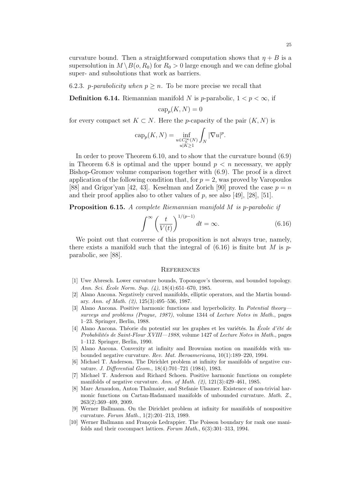curvature bound. Then a straightforward computation shows that  $\eta + B$  is a supersolution in  $M \setminus B(o, R_0)$  for  $R_0 > 0$  large enough and we can define global super- and subsolutions that work as barriers.

6.2.3. *p*-*parabolicity* when  $p \geq n$ . To be more precise we recall that

**Definition 6.14.** Riemannian manifold N is p-parabolic,  $1 < p < \infty$ , if

$$
\operatorname{cap}_p(K, N) = 0
$$

for every compact set  $K \subset N$ . Here the *p*-capacity of the pair  $(K, N)$  is

$$
\operatorname{cap}_p(K, N) = \inf_{\substack{u \in C_0^{\infty}(N) \\ u|K \ge 1}} \int_N |\nabla u|^p.
$$

In order to prove Theorem 6.10, and to show that the curvature bound (6.9) in Theorem 6.8 is optimal and the upper bound  $p < n$  necessary, we apply Bishop-Gromov volume comparison together with (6.9). The proof is a direct application of the following condition that, for  $p = 2$ , was proved by Varopoulos [88] and Grigor'yan [42, 43]. Keselman and Zorich [90] proved the case  $p = n$ and their proof applies also to other values of  $p$ , see also [49], [28], [51].

Proposition 6.15. A complete Riemannian manifold M is p-parabolic if

$$
\int^{\infty} \left(\frac{t}{V(t)}\right)^{1/(p-1)} dt = \infty.
$$
\n(6.16)

We point out that converse of this proposition is not always true, namely, there exists a manifold such that the integral of  $(6.16)$  is finite but M is pparabolic, see [88].

#### **REFERENCES**

- [1] Uwe Abresch. Lower curvature bounds, Toponogov's theorem, and bounded topology. Ann. Sci. École Norm. Sup.  $(4)$ , 18(4):651–670, 1985.
- [2] Alano Ancona. Negatively curved manifolds, elliptic operators, and the Martin boundary. Ann. of Math. (2), 125(3):495–536, 1987.
- [3] Alano Ancona. Positive harmonic functions and hyperbolicity. In Potential theory surveys and problems (Prague, 1987), volume 1344 of Lecture Notes in Math., pages 1–23. Springer, Berlin, 1988.
- [4] Alano Ancona. Théorie du potentiel sur les graphes et les variétés. In École d'été de Probabilités de Saint-Flour XVIII—1988, volume 1427 of Lecture Notes in Math., pages 1–112. Springer, Berlin, 1990.
- [5] Alano Ancona. Convexity at infinity and Brownian motion on manifolds with unbounded negative curvature. Rev. Mat. Iberoamericana, 10(1):189–220, 1994.
- [6] Michael T. Anderson. The Dirichlet problem at infinity for manifolds of negative curvature. J. Differential Geom., 18(4):701–721 (1984), 1983.
- [7] Michael T. Anderson and Richard Schoen. Positive harmonic functions on complete manifolds of negative curvature. Ann. of Math. (2), 121(3):429–461, 1985.
- [8] Marc Arnaudon, Anton Thalmaier, and Stefanie Ulsamer. Existence of non-trivial harmonic functions on Cartan-Hadamard manifolds of unbounded curvature. Math. Z., 263(2):369–409, 2009.
- [9] Werner Ballmann. On the Dirichlet problem at infinity for manifolds of nonpositive curvature. Forum Math., 1(2):201–213, 1989.
- [10] Werner Ballmann and François Ledrappier. The Poisson boundary for rank one manifolds and their cocompact lattices. Forum Math., 6(3):301–313, 1994.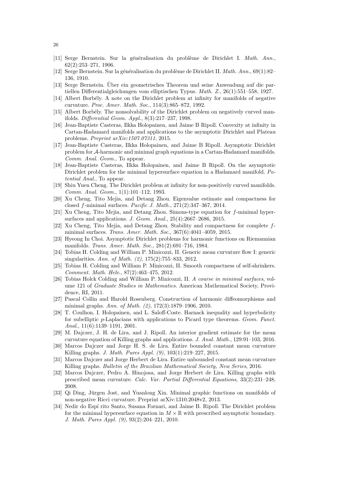- [11] Serge Bernstein. Sur la généralisation du problème de Dirichlet I. Math. Ann., 62(2):253–271, 1906.
- [12] Serge Bernstein. Sur la généralisation du problème de Dirichlet II. Math. Ann., 69(1):82– 136, 1910.
- [13] Serge Bernstein. Uber ein geometrisches Theorem und seine Anwendung auf die par- ¨ tiellen Differentialgleichungen vom elliptischen Typus. Math. Z., 26(1):551–558, 1927.
- [14] Albert Borbély. A note on the Dirichlet problem at infinity for manifolds of negative curvature. Proc. Amer. Math. Soc., 114(3):865–872, 1992.
- [15] Albert Borbély. The nonsolvability of the Dirichlet problem on negatively curved manifolds. Differential Geom. Appl., 8(3):217–237, 1998.
- [16] Jean-Baptiste Casteras, Ilkka Holopainen, and Jaime B Ripoll. Convexity at infinity in Cartan-Hadamard manifolds and applications to the asymptotic Dirichlet and Plateau problems. Preprint arXiv:1507.07311, 2015.
- [17] Jean-Baptiste Casteras, Ilkka Holopainen, and Jaime B Ripoll. Asymptotic Dirichlet problem for A-harmonic and minimal graph equations in a Cartan-Hadamard manifolds. Comm. Anal. Geom., To appear.
- [18] Jean-Baptiste Casteras, Ilkka Holopainen, and Jaime B Ripoll. On the asymptotic Dirichlet problem for the minimal hypersurface equation in a Hadamard manifold. Potential Anal., To appear.
- [19] Shiu Yuen Cheng. The Dirichlet problem at infinity for non-positively curved manifolds. Comm. Anal. Geom., 1(1):101–112, 1993.
- [20] Xu Cheng, Tito Mejia, and Detang Zhou. Eigenvalue estimate and compactness for closed f-minimal surfaces. Pacific J. Math.,  $271(2):347-367$ ,  $2014$ .
- [21] Xu Cheng, Tito Mejia, and Detang Zhou. Simons-type equation for f-minimal hypersurfaces and applications. J. Geom. Anal., 25(4):2667–2686, 2015.
- [22] Xu Cheng, Tito Mejia, and Detang Zhou. Stability and compactness for complete fminimal surfaces. Trans. Amer. Math. Soc., 367(6):4041–4059, 2015.
- [23] Hyeong In Choi. Asymptotic Dirichlet problems for harmonic functions on Riemannian manifolds. Trans. Amer. Math. Soc., 281(2):691–716, 1984.
- [24] Tobias H. Colding and William P. Minicozzi, II. Generic mean curvature flow I: generic singularities. Ann. of Math. (2), 175(2):755–833, 2012.
- [25] Tobias H. Colding and William P. Minicozzi, II. Smooth compactness of self-shrinkers. Comment. Math. Helv., 87(2):463–475, 2012.
- [26] Tobias Holck Colding and William P. Minicozzi, II. A course in minimal surfaces, volume 121 of Graduate Studies in Mathematics. American Mathematical Society, Providence, RI, 2011.
- [27] Pascal Collin and Harold Rosenberg. Construction of harmonic diffeomorphisms and minimal graphs. Ann. of Math. (2), 172(3):1879–1906, 2010.
- [28] T. Coulhon, I. Holopainen, and L. Saloff-Coste. Harnack inequality and hyperbolicity for subelliptic p-Laplacians with applications to Picard type theorems. Geom. Funct. Anal., 11(6):1139–1191, 2001.
- [29] M. Dajczer, J. H. de Lira, and J. Ripoll. An interior gradient estimate for the mean curvature equation of Killing graphs and applications. J. Anal. Math., 129:91–103, 2016.
- [30] Marcos Dajczer and Jorge H. S. de Lira. Entire bounded constant mean curvature Killing graphs. J. Math. Pures Appl. (9), 103(1):219–227, 2015.
- [31] Marcos Dajczer and Jorge Herbert de Lira. Entire unbounded constant mean curvature Killing graphs. Bulletin of the Brazilian Mathematical Society, New Series, 2016.
- [32] Marcos Dajczer, Pedro A. Hinojosa, and Jorge Herbert de Lira. Killing graphs with prescribed mean curvature. Calc. Var. Partial Differential Equations, 33(2):231–248, 2008.
- [33] Qi Ding, Jürgen Jost, and Yuanlong Xin. Minimal graphic functions on manifolds of non-negative Ricci curvature. Preprint arXiv:1310.2048v2, 2013.
- [34] Nedir do Espí rito Santo, Susana Fornari, and Jaime B. Ripoll. The Dirichlet problem for the minimal hypersurface equation in  $M \times \mathbb{R}$  with prescribed asymptotic boundary. J. Math. Pures Appl. (9), 93(2):204–221, 2010.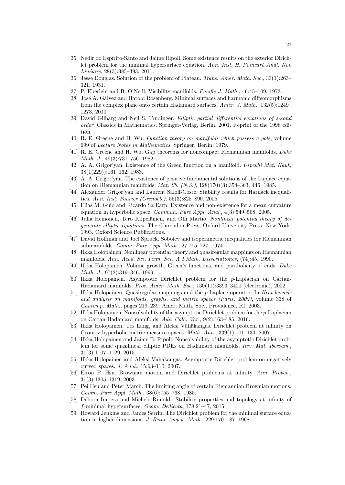- [35] Nedir do Espírito-Santo and Jaime Ripoll. Some existence results on the exterior Dirichlet problem for the minimal hypersurface equation. Ann. Inst. H. Poincaré Anal. Non  $Lin\acute{e}aire$ , 28(3):385–393, 2011.
- [36] Jesse Douglas. Solution of the problem of Plateau. Trans. Amer. Math. Soc., 33(1):263– 321, 1931.
- [37] P. Eberlein and B. O'Neill. Visibility manifolds. Pacific J. Math., 46:45-109, 1973.
- [38] José A. Gálvez and Harold Rosenberg. Minimal surfaces and harmonic diffeomorphisms from the complex plane onto certain Hadamard surfaces. Amer. J. Math., 132(5):1249– 1273, 2010.
- [39] David Gilbarg and Neil S. Trudinger. Elliptic partial differential equations of second order. Classics in Mathematics. Springer-Verlag, Berlin, 2001. Reprint of the 1998 edition.
- [40] R. E. Greene and H. Wu. Function theory on manifolds which possess a pole, volume 699 of Lecture Notes in Mathematics. Springer, Berlin, 1979.
- [41] R. E. Greene and H. Wu. Gap theorems for noncompact Riemannian manifolds. Duke Math. J., 49(3):731–756, 1982.
- [42] A. A. Grigor'yan. Existence of the Green function on a manifold. Uspekhi Mat. Nauk, 38(1(229)):161–162, 1983.
- [43] A. A. Grigor'yan. The existence of positive fundamental solutions of the Laplace equation on Riemannian manifolds. Mat. Sb. (N.S.), 128(170)(3):354–363, 446, 1985.
- [44] Alexander Grigor'yan and Laurent Saloff-Coste. Stability results for Harnack inequalities. Ann. Inst. Fourier (Grenoble), 55(3):825–890, 2005.
- [45] Elias M. Guio and Ricardo Sa Earp. Existence and non-existence for a mean curvature equation in hyperbolic space. Commun. Pure Appl. Anal., 4(3):549–568, 2005.
- [46] Juha Heinonen, Tero Kilpeläinen, and Olli Martio. Nonlinear potential theory of degenerate elliptic equations. The Clarendon Press, Oxford University Press, New York, 1993. Oxford Science Publications.
- [47] David Hoffman and Joel Spruck. Sobolev and isoperimetric inequalities for Riemannian submanifolds. Comm. Pure Appl. Math., 27:715–727, 1974.
- [48] Ilkka Holopainen. Nonlinear potential theory and quasiregular mappings on Riemannian manifolds. Ann. Acad. Sci. Fenn. Ser. A I Math. Dissertationes, (74):45, 1990.
- [49] Ilkka Holopainen. Volume growth, Green's functions, and parabolicity of ends. Duke Math. J., 97(2):319–346, 1999.
- [50] Ilkka Holopainen. Asymptotic Dirichlet problem for the p-Laplacian on Cartan-Hadamard manifolds. Proc. Amer. Math. Soc., 130(11):3393–3400 (electronic), 2002.
- [51] Ilkka Holopainen. Quasiregular mappings and the p-Laplace operator. In Heat kernels and analysis on manifolds, graphs, and metric spaces (Paris, 2002), volume 338 of Contemp. Math., pages 219–239. Amer. Math. Soc., Providence, RI, 2003.
- [52] Ilkka Holopainen. Nonsolvability of the asymptotic Dirichlet problem for the p-Laplacian on Cartan-Hadamard manifolds. Adv. Calc. Var., 9(2):163–185, 2016.
- [53] Ilkka Holopainen, Urs Lang, and Aleksi Vähäkangas. Dirichlet problem at infinity on Gromov hyperbolic metric measure spaces. Math. Ann., 339(1):101–134, 2007.
- [54] Ilkka Holopainen and Jaime B. Ripoll. Nonsolvability of the asymptotic Dirichlet problem for some quasilinear elliptic PDEs on Hadamard manifolds. Rev. Mat. Iberoam., 31(3):1107–1129, 2015.
- [55] Ilkka Holopainen and Aleksi Vähäkangas. Asymptotic Dirichlet problem on negatively curved spaces. J. Anal., 15:63–110, 2007.
- [56] Elton P. Hsu. Brownian motion and Dirichlet problems at infinity. Ann. Probab., 31(3):1305–1319, 2003.
- [57] Pei Hsu and Peter March. The limiting angle of certain Riemannian Brownian motions. Comm. Pure Appl. Math., 38(6):755–768, 1985.
- [58] Debora Impera and Michele Rimoldi. Stability properties and topology at infinity of f-minimal hypersurfaces. Geom. Dedicata, 178:21–47, 2015.
- [59] Howard Jenkins and James Serrin. The Dirichlet problem for the minimal surface equation in higher dimensions. J. Reine Angew. Math., 229:170–187, 1968.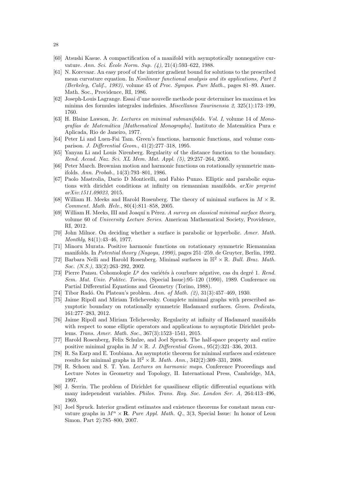- [60] Atsushi Kasue. A compactification of a manifold with asymptotically nonnegative curvature. Ann. Sci. École Norm. Sup.  $(4)$ , 21 $(4)$ :593-622, 1988.
- [61] N. Korevaar. An easy proof of the interior gradient bound for solutions to the prescribed mean curvature equation. In Nonlinear functional analysis and its applications, Part 2 (Berkeley, Calif., 1983), volume 45 of Proc. Sympos. Pure Math., pages 81–89. Amer. Math. Soc., Providence, RI, 1986.
- [62] Joseph-Louis Lagrange. Essai d'une nouvelle methode pour determiner les maxima et les minima des formules integrales indefinies. Miscellanea Taurinensia 2, 325(1):173–199, 1760.
- [63] H. Blaine Lawson, Jr. Lectures on minimal submanifolds. Vol. I, volume 14 of Monografías de Matemática [Mathematical Monographs]. Instituto de Matemática Pura e Aplicada, Rio de Janeiro, 1977.
- [64] Peter Li and Luen-Fai Tam. Green's functions, harmonic functions, and volume comparison. J. Differential Geom., 41(2):277–318, 1995.
- [65] Yanyan Li and Louis Nirenberg. Regularity of the distance function to the boundary. Rend. Accad. Naz. Sci. XL Mem. Mat. Appl. (5), 29:257–264, 2005.
- [66] Peter March. Brownian motion and harmonic functions on rotationally symmetric manifolds. Ann. Probab., 14(3):793–801, 1986.
- [67] Paolo Mastrolia, Dario D Monticelli, and Fabio Punzo. Elliptic and parabolic equations with dirichlet conditions at infinity on riemannian manifolds. arXiv preprint arXiv:1511.09023, 2015.
- [68] William H. Meeks and Harold Rosenberg. The theory of minimal surfaces in  $M \times \mathbb{R}$ . Comment. Math. Helv., 80(4):811–858, 2005.
- $[69]$  William H. Meeks, III and Joaquí n Pérez. A survey on classical minimal surface theory, volume 60 of University Lecture Series. American Mathematical Society, Providence, RI, 2012.
- [70] John Milnor. On deciding whether a surface is parabolic or hyperbolic. Amer. Math. Monthly, 84(1):43–46, 1977.
- [71] Minoru Murata. Positive harmonic functions on rotationary symmetric Riemannian manifolds. In Potential theory (Nagoya, 1990), pages 251–259. de Gruyter, Berlin, 1992.
- [72] Barbara Nelli and Harold Rosenberg. Minimal surfaces in  $\mathbb{H}^2 \times \mathbb{R}$ . Bull. Braz. Math. Soc. (N.S.), 33(2):263-292, 2002.
- [73] Pierre Pansu. Cohomologie  $L^p$  des variétés à courbure négative, cas du degré 1. Rend. Sem. Mat. Univ. Politec. Torino, (Special Issue):95–120 (1990), 1989. Conference on Partial Differential Equations and Geometry (Torino, 1988).
- [74] Tibor Radó. On Plateau's problem. Ann. of Math.  $(2), 31(3):457-469, 1930$ .
- [75] Jaime Ripoll and Miriam Telichevesky. Complete minimal graphs with prescribed asymptotic boundary on rotationally symmetric Hadamard surfaces. Geom. Dedicata, 161:277–283, 2012.
- [76] Jaime Ripoll and Miriam Telichevesky. Regularity at infinity of Hadamard manifolds with respect to some elliptic operators and applications to asymptotic Dirichlet problems. Trans. Amer. Math. Soc., 367(3):1523–1541, 2015.
- [77] Harold Rosenberg, Felix Schulze, and Joel Spruck. The half-space property and entire positive minimal graphs in  $M \times \mathbb{R}$ . J. Differential Geom., 95(2):321–336, 2013.
- [78] R. Sa Earp and E. Toubiana. An asymptotic theorem for minimal surfaces and existence results for minimal graphs in  $\mathbb{H}^2 \times \mathbb{R}$ . *Math. Ann.*, 342(2):309-331, 2008.
- [79] R. Schoen and S. T. Yau. Lectures on harmonic maps. Conference Proceedings and Lecture Notes in Geometry and Topology, II. International Press, Cambridge, MA, 1997.
- [80] J. Serrin. The problem of Dirichlet for quasilinear elliptic differential equations with many independent variables. Philos. Trans. Roy. Soc. London Ser. A, 264:413–496, 1969.
- [81] Joel Spruck. Interior gradient estimates and existence theorems for constant mean curvature graphs in  $M^n \times \mathbf{R}$ . Pure Appl. Math. Q., 3(3, Special Issue: In honor of Leon Simon. Part 2):785–800, 2007.